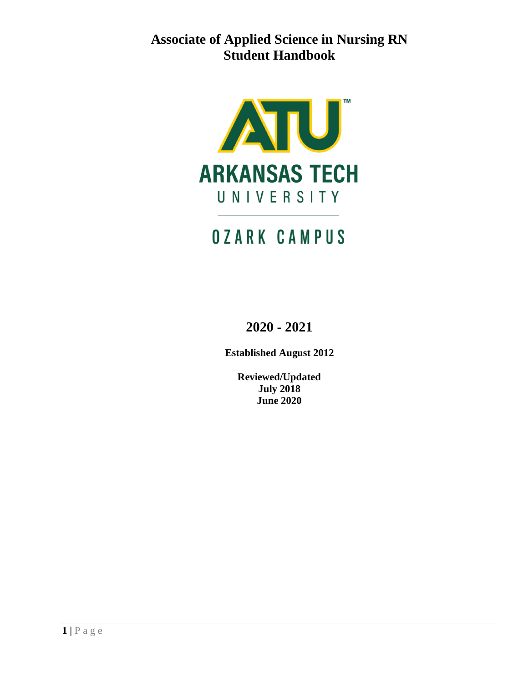**Associate of Applied Science in Nursing RN Student Handbook**



# **OZARK CAMPUS**

**2020 - 2021**

**Established August 2012**

**Reviewed/Updated July 2018 June 2020**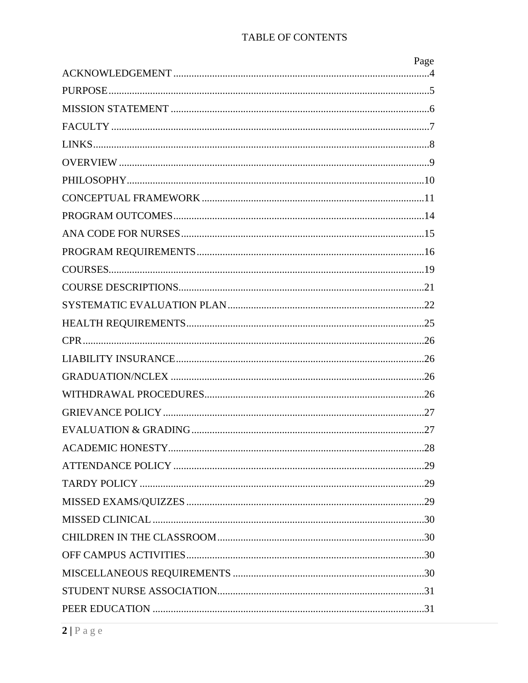# TABLE OF CONTENTS

| Page |
|------|
|      |
|      |
|      |
|      |
|      |
|      |
|      |
|      |
|      |
|      |
|      |
|      |
|      |
|      |
|      |
|      |
|      |
|      |
|      |
|      |
|      |
|      |
|      |
|      |
|      |
|      |
|      |
|      |
|      |
|      |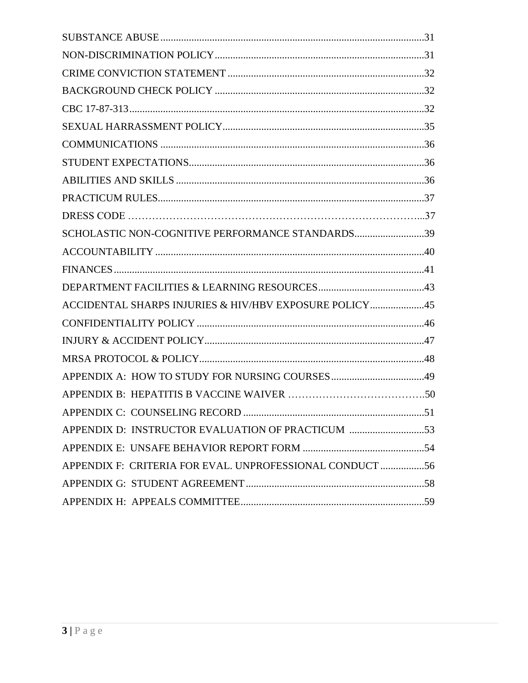| SCHOLASTIC NON-COGNITIVE PERFORMANCE STANDARDS39        |     |
|---------------------------------------------------------|-----|
|                                                         |     |
|                                                         |     |
|                                                         |     |
| ACCIDENTAL SHARPS INJURIES & HIV/HBV EXPOSURE POLICY45  |     |
|                                                         |     |
|                                                         |     |
|                                                         |     |
|                                                         |     |
|                                                         |     |
| APPENDIX C: COUNSELING RECORD                           | .51 |
|                                                         |     |
|                                                         |     |
| APPENDIX F: CRITERIA FOR EVAL. UNPROFESSIONAL CONDUCT56 |     |
|                                                         |     |
|                                                         |     |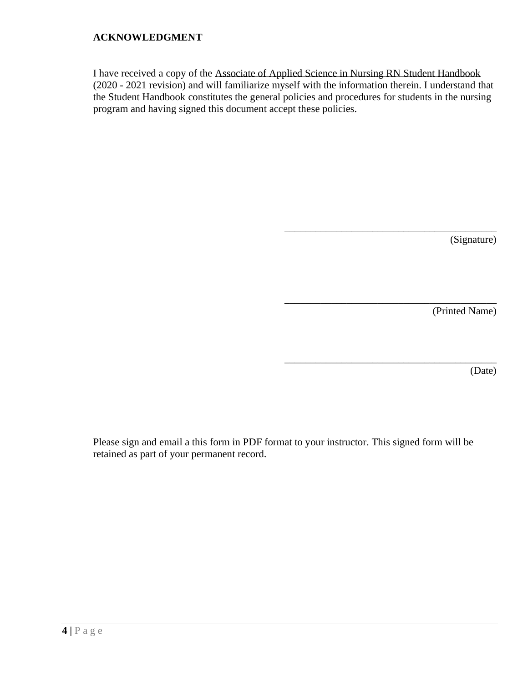# **ACKNOWLEDGMENT**

I have received a copy of the Associate of Applied Science in Nursing RN Student Handbook (2020 - 2021 revision) and will familiarize myself with the information therein. I understand that the Student Handbook constitutes the general policies and procedures for students in the nursing program and having signed this document accept these policies.

(Signature)

\_\_\_\_\_\_\_\_\_\_\_\_\_\_\_\_\_\_\_\_\_\_\_\_\_\_\_\_\_\_\_\_\_\_\_\_\_\_\_\_\_

\_\_\_\_\_\_\_\_\_\_\_\_\_\_\_\_\_\_\_\_\_\_\_\_\_\_\_\_\_\_\_\_\_\_\_\_\_\_\_\_\_

\_\_\_\_\_\_\_\_\_\_\_\_\_\_\_\_\_\_\_\_\_\_\_\_\_\_\_\_\_\_\_\_\_\_\_\_\_\_\_\_\_

(Printed Name)

(Date)

Please sign and email a this form in PDF format to your instructor. This signed form will be retained as part of your permanent record.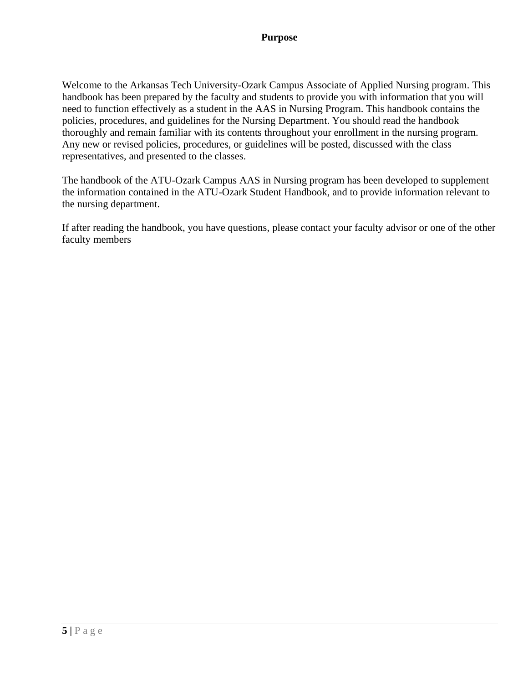Welcome to the Arkansas Tech University-Ozark Campus Associate of Applied Nursing program. This handbook has been prepared by the faculty and students to provide you with information that you will need to function effectively as a student in the AAS in Nursing Program. This handbook contains the policies, procedures, and guidelines for the Nursing Department. You should read the handbook thoroughly and remain familiar with its contents throughout your enrollment in the nursing program. Any new or revised policies, procedures, or guidelines will be posted, discussed with the class representatives, and presented to the classes.

The handbook of the ATU-Ozark Campus AAS in Nursing program has been developed to supplement the information contained in the ATU-Ozark Student Handbook, and to provide information relevant to the nursing department.

If after reading the handbook, you have questions, please contact your faculty advisor or one of the other faculty members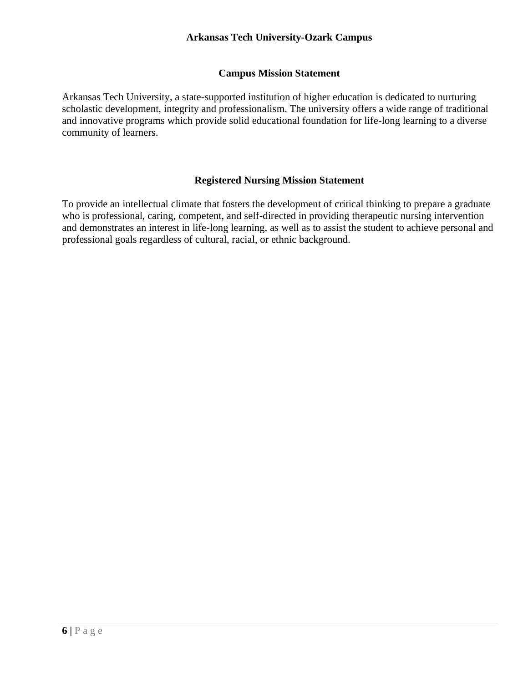# **Campus Mission Statement**

Arkansas Tech University, a state-supported institution of higher education is dedicated to nurturing scholastic development, integrity and professionalism. The university offers a wide range of traditional and innovative programs which provide solid educational foundation for life-long learning to a diverse community of learners.

# **Registered Nursing Mission Statement**

To provide an intellectual climate that fosters the development of critical thinking to prepare a graduate who is professional, caring, competent, and self-directed in providing therapeutic nursing intervention and demonstrates an interest in life-long learning, as well as to assist the student to achieve personal and professional goals regardless of cultural, racial, or ethnic background.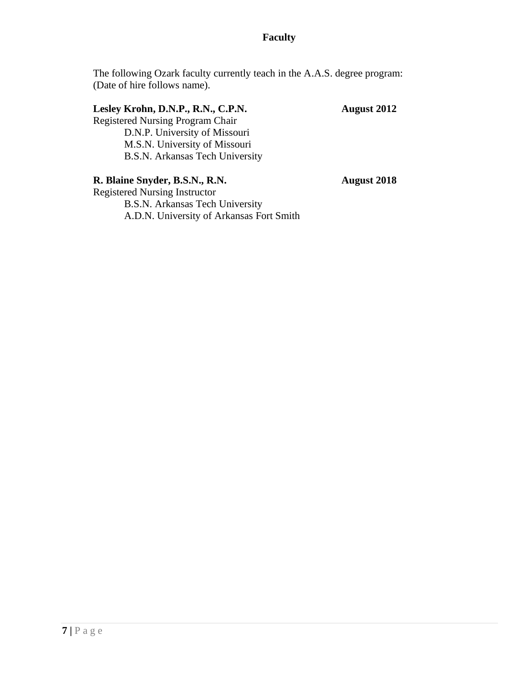# **Faculty**

The following Ozark faculty currently teach in the A.A.S. degree program: (Date of hire follows name).

# **Lesley Krohn, D.N.P., R.N., C.P.N. August 2012** Registered Nursing Program Chair D.N.P. University of Missouri M.S.N. University of Missouri B.S.N. Arkansas Tech University

# **R. Blaine Snyder, B.S.N., R.N. August 2018**

Registered Nursing Instructor B.S.N. Arkansas Tech University A.D.N. University of Arkansas Fort Smith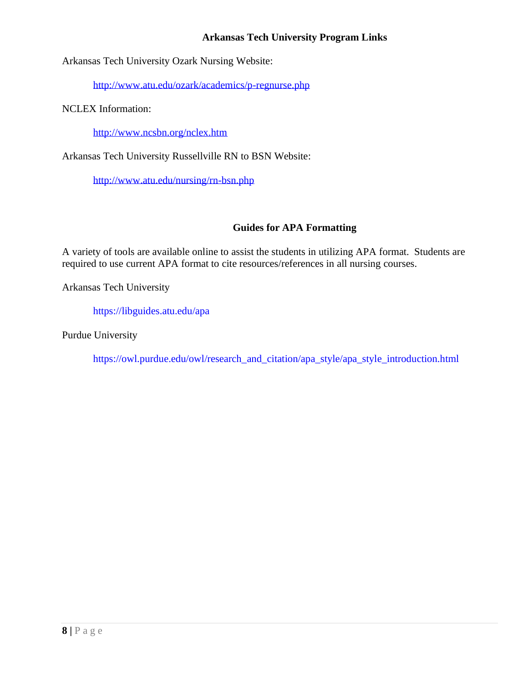# **Arkansas Tech University Program Links**

Arkansas Tech University Ozark Nursing Website:

<http://www.atu.edu/ozark/academics/p-regnurse.php>

NCLEX Information:

<http://www.ncsbn.org/nclex.htm>

Arkansas Tech University Russellville RN to BSN Website:

<http://www.atu.edu/nursing/rn-bsn.php>

# **Guides for APA Formatting**

A variety of tools are available online to assist the students in utilizing APA format. Students are required to use current APA format to cite resources/references in all nursing courses.

Arkansas Tech University

<https://libguides.atu.edu/apa>

Purdue University

[https://owl.purdue.edu/owl/research\\_and\\_citation/apa\\_style/apa\\_style\\_introduction.html](https://owl.purdue.edu/owl/research_and_citation/apa_style/apa_style_introduction.html)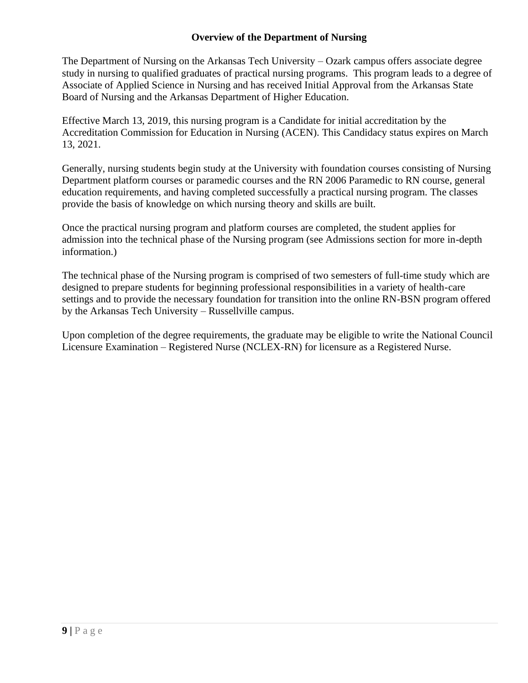# **Overview of the Department of Nursing**

The Department of Nursing on the Arkansas Tech University – Ozark campus offers associate degree study in nursing to qualified graduates of practical nursing programs. This program leads to a degree of Associate of Applied Science in Nursing and has received Initial Approval from the Arkansas State Board of Nursing and the Arkansas Department of Higher Education.

Effective March 13, 2019, this nursing program is a Candidate for initial accreditation by the Accreditation Commission for Education in Nursing (ACEN). This Candidacy status expires on March 13, 2021.

Generally, nursing students begin study at the University with foundation courses consisting of Nursing Department platform courses or paramedic courses and the RN 2006 Paramedic to RN course, general education requirements, and having completed successfully a practical nursing program. The classes provide the basis of knowledge on which nursing theory and skills are built.

Once the practical nursing program and platform courses are completed, the student applies for admission into the technical phase of the Nursing program (see Admissions section for more in-depth information.)

The technical phase of the Nursing program is comprised of two semesters of full-time study which are designed to prepare students for beginning professional responsibilities in a variety of health-care settings and to provide the necessary foundation for transition into the online RN-BSN program offered by the Arkansas Tech University – Russellville campus.

Upon completion of the degree requirements, the graduate may be eligible to write the National Council Licensure Examination – Registered Nurse (NCLEX-RN) for licensure as a Registered Nurse.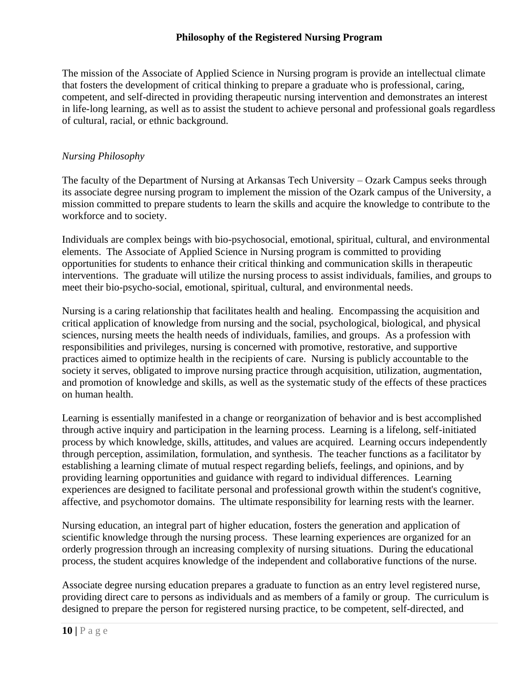# **Philosophy of the Registered Nursing Program**

The mission of the Associate of Applied Science in Nursing program is provide an intellectual climate that fosters the development of critical thinking to prepare a graduate who is professional, caring, competent, and self-directed in providing therapeutic nursing intervention and demonstrates an interest in life-long learning, as well as to assist the student to achieve personal and professional goals regardless of cultural, racial, or ethnic background.

# *Nursing Philosophy*

The faculty of the Department of Nursing at Arkansas Tech University – Ozark Campus seeks through its associate degree nursing program to implement the mission of the Ozark campus of the University, a mission committed to prepare students to learn the skills and acquire the knowledge to contribute to the workforce and to society.

Individuals are complex beings with bio-psychosocial, emotional, spiritual, cultural, and environmental elements. The Associate of Applied Science in Nursing program is committed to providing opportunities for students to enhance their critical thinking and communication skills in therapeutic interventions. The graduate will utilize the nursing process to assist individuals, families, and groups to meet their bio-psycho-social, emotional, spiritual, cultural, and environmental needs.

Nursing is a caring relationship that facilitates health and healing. Encompassing the acquisition and critical application of knowledge from nursing and the social, psychological, biological, and physical sciences, nursing meets the health needs of individuals, families, and groups. As a profession with responsibilities and privileges, nursing is concerned with promotive, restorative, and supportive practices aimed to optimize health in the recipients of care. Nursing is publicly accountable to the society it serves, obligated to improve nursing practice through acquisition, utilization, augmentation, and promotion of knowledge and skills, as well as the systematic study of the effects of these practices on human health.

Learning is essentially manifested in a change or reorganization of behavior and is best accomplished through active inquiry and participation in the learning process. Learning is a lifelong, self-initiated process by which knowledge, skills, attitudes, and values are acquired. Learning occurs independently through perception, assimilation, formulation, and synthesis. The teacher functions as a facilitator by establishing a learning climate of mutual respect regarding beliefs, feelings, and opinions, and by providing learning opportunities and guidance with regard to individual differences. Learning experiences are designed to facilitate personal and professional growth within the student's cognitive, affective, and psychomotor domains. The ultimate responsibility for learning rests with the learner.

Nursing education, an integral part of higher education, fosters the generation and application of scientific knowledge through the nursing process. These learning experiences are organized for an orderly progression through an increasing complexity of nursing situations. During the educational process, the student acquires knowledge of the independent and collaborative functions of the nurse.

Associate degree nursing education prepares a graduate to function as an entry level registered nurse, providing direct care to persons as individuals and as members of a family or group. The curriculum is designed to prepare the person for registered nursing practice, to be competent, self-directed, and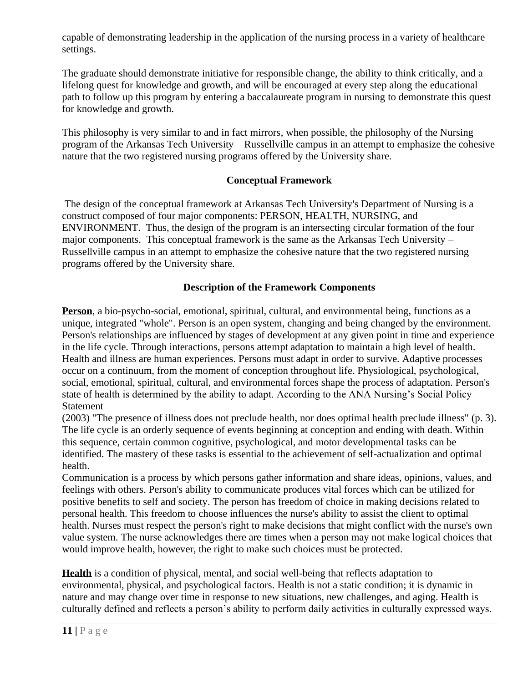capable of demonstrating leadership in the application of the nursing process in a variety of healthcare settings.

The graduate should demonstrate initiative for responsible change, the ability to think critically, and a lifelong quest for knowledge and growth, and will be encouraged at every step along the educational path to follow up this program by entering a baccalaureate program in nursing to demonstrate this quest for knowledge and growth.

This philosophy is very similar to and in fact mirrors, when possible, the philosophy of the Nursing program of the Arkansas Tech University – Russellville campus in an attempt to emphasize the cohesive nature that the two registered nursing programs offered by the University share.

# **Conceptual Framework**

The design of the conceptual framework at Arkansas Tech University's Department of Nursing is a construct composed of four major components: PERSON, HEALTH, NURSING, and ENVIRONMENT. Thus, the design of the program is an intersecting circular formation of the four major components. This conceptual framework is the same as the Arkansas Tech University – Russellville campus in an attempt to emphasize the cohesive nature that the two registered nursing programs offered by the University share.

# **Description of the Framework Components**

**Person**, a bio-psycho-social, emotional, spiritual, cultural, and environmental being, functions as a unique, integrated "whole". Person is an open system, changing and being changed by the environment. Person's relationships are influenced by stages of development at any given point in time and experience in the life cycle. Through interactions, persons attempt adaptation to maintain a high level of health. Health and illness are human experiences. Persons must adapt in order to survive. Adaptive processes occur on a continuum, from the moment of conception throughout life. Physiological, psychological, social, emotional, spiritual, cultural, and environmental forces shape the process of adaptation. Person's state of health is determined by the ability to adapt. According to the ANA Nursing's Social Policy Statement

(2003) "The presence of illness does not preclude health, nor does optimal health preclude illness" (p. 3). The life cycle is an orderly sequence of events beginning at conception and ending with death. Within this sequence, certain common cognitive, psychological, and motor developmental tasks can be identified. The mastery of these tasks is essential to the achievement of self-actualization and optimal health.

Communication is a process by which persons gather information and share ideas, opinions, values, and feelings with others. Person's ability to communicate produces vital forces which can be utilized for positive benefits to self and society. The person has freedom of choice in making decisions related to personal health. This freedom to choose influences the nurse's ability to assist the client to optimal health. Nurses must respect the person's right to make decisions that might conflict with the nurse's own value system. The nurse acknowledges there are times when a person may not make logical choices that would improve health, however, the right to make such choices must be protected.

**Health** is a condition of physical, mental, and social well-being that reflects adaptation to environmental, physical, and psychological factors. Health is not a static condition; it is dynamic in nature and may change over time in response to new situations, new challenges, and aging. Health is culturally defined and reflects a person's ability to perform daily activities in culturally expressed ways.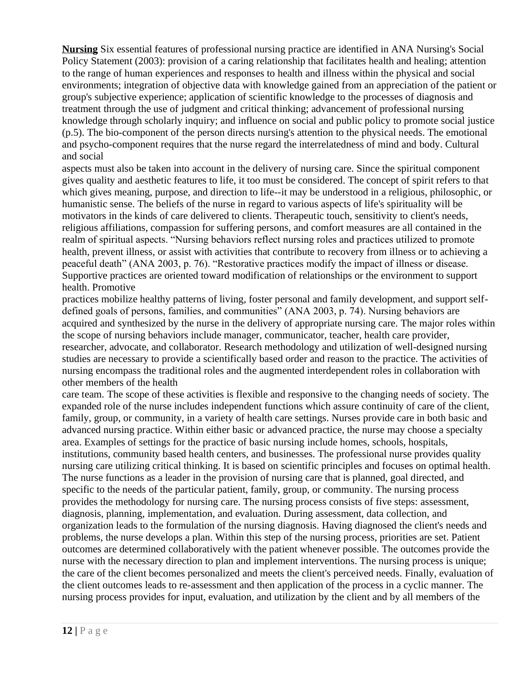**Nursing** Six essential features of professional nursing practice are identified in ANA Nursing's Social Policy Statement (2003): provision of a caring relationship that facilitates health and healing; attention to the range of human experiences and responses to health and illness within the physical and social environments; integration of objective data with knowledge gained from an appreciation of the patient or group's subjective experience; application of scientific knowledge to the processes of diagnosis and treatment through the use of judgment and critical thinking; advancement of professional nursing knowledge through scholarly inquiry; and influence on social and public policy to promote social justice (p.5). The bio-component of the person directs nursing's attention to the physical needs. The emotional and psycho-component requires that the nurse regard the interrelatedness of mind and body. Cultural and social

aspects must also be taken into account in the delivery of nursing care. Since the spiritual component gives quality and aesthetic features to life, it too must be considered. The concept of spirit refers to that which gives meaning, purpose, and direction to life--it may be understood in a religious, philosophic, or humanistic sense. The beliefs of the nurse in regard to various aspects of life's spirituality will be motivators in the kinds of care delivered to clients. Therapeutic touch, sensitivity to client's needs, religious affiliations, compassion for suffering persons, and comfort measures are all contained in the realm of spiritual aspects. "Nursing behaviors reflect nursing roles and practices utilized to promote health, prevent illness, or assist with activities that contribute to recovery from illness or to achieving a peaceful death" (ANA 2003, p. 76). "Restorative practices modify the impact of illness or disease. Supportive practices are oriented toward modification of relationships or the environment to support health. Promotive

practices mobilize healthy patterns of living, foster personal and family development, and support selfdefined goals of persons, families, and communities" (ANA 2003, p. 74). Nursing behaviors are acquired and synthesized by the nurse in the delivery of appropriate nursing care. The major roles within the scope of nursing behaviors include manager, communicator, teacher, health care provider, researcher, advocate, and collaborator. Research methodology and utilization of well-designed nursing studies are necessary to provide a scientifically based order and reason to the practice. The activities of nursing encompass the traditional roles and the augmented interdependent roles in collaboration with other members of the health

care team. The scope of these activities is flexible and responsive to the changing needs of society. The expanded role of the nurse includes independent functions which assure continuity of care of the client, family, group, or community, in a variety of health care settings. Nurses provide care in both basic and advanced nursing practice. Within either basic or advanced practice, the nurse may choose a specialty area. Examples of settings for the practice of basic nursing include homes, schools, hospitals, institutions, community based health centers, and businesses. The professional nurse provides quality nursing care utilizing critical thinking. It is based on scientific principles and focuses on optimal health. The nurse functions as a leader in the provision of nursing care that is planned, goal directed, and specific to the needs of the particular patient, family, group, or community. The nursing process provides the methodology for nursing care. The nursing process consists of five steps: assessment, diagnosis, planning, implementation, and evaluation. During assessment, data collection, and organization leads to the formulation of the nursing diagnosis. Having diagnosed the client's needs and problems, the nurse develops a plan. Within this step of the nursing process, priorities are set. Patient outcomes are determined collaboratively with the patient whenever possible. The outcomes provide the nurse with the necessary direction to plan and implement interventions. The nursing process is unique; the care of the client becomes personalized and meets the client's perceived needs. Finally, evaluation of the client outcomes leads to re-assessment and then application of the process in a cyclic manner. The nursing process provides for input, evaluation, and utilization by the client and by all members of the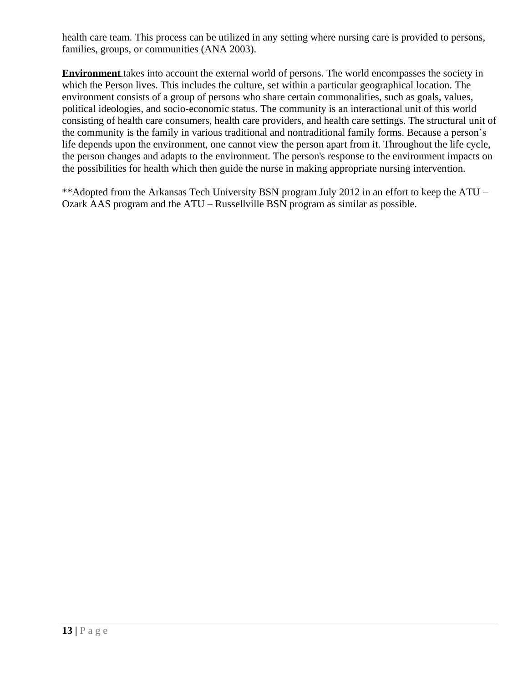health care team. This process can be utilized in any setting where nursing care is provided to persons, families, groups, or communities (ANA 2003).

**Environment** takes into account the external world of persons. The world encompasses the society in which the Person lives. This includes the culture, set within a particular geographical location. The environment consists of a group of persons who share certain commonalities, such as goals, values, political ideologies, and socio-economic status. The community is an interactional unit of this world consisting of health care consumers, health care providers, and health care settings. The structural unit of the community is the family in various traditional and nontraditional family forms. Because a person's life depends upon the environment, one cannot view the person apart from it. Throughout the life cycle, the person changes and adapts to the environment. The person's response to the environment impacts on the possibilities for health which then guide the nurse in making appropriate nursing intervention.

\*\*Adopted from the Arkansas Tech University BSN program July 2012 in an effort to keep the ATU – Ozark AAS program and the ATU – Russellville BSN program as similar as possible.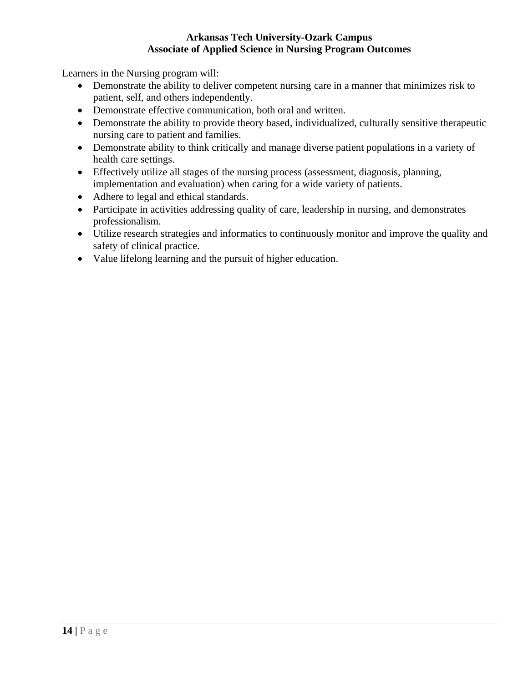## **Arkansas Tech University-Ozark Campus Associate of Applied Science in Nursing Program Outcomes**

Learners in the Nursing program will:

- Demonstrate the ability to deliver competent nursing care in a manner that minimizes risk to patient, self, and others independently.
- Demonstrate effective communication, both oral and written.
- Demonstrate the ability to provide theory based, individualized, culturally sensitive therapeutic nursing care to patient and families.
- Demonstrate ability to think critically and manage diverse patient populations in a variety of health care settings.
- Effectively utilize all stages of the nursing process (assessment, diagnosis, planning, implementation and evaluation) when caring for a wide variety of patients.
- Adhere to legal and ethical standards.
- Participate in activities addressing quality of care, leadership in nursing, and demonstrates professionalism.
- Utilize research strategies and informatics to continuously monitor and improve the quality and safety of clinical practice.
- Value lifelong learning and the pursuit of higher education.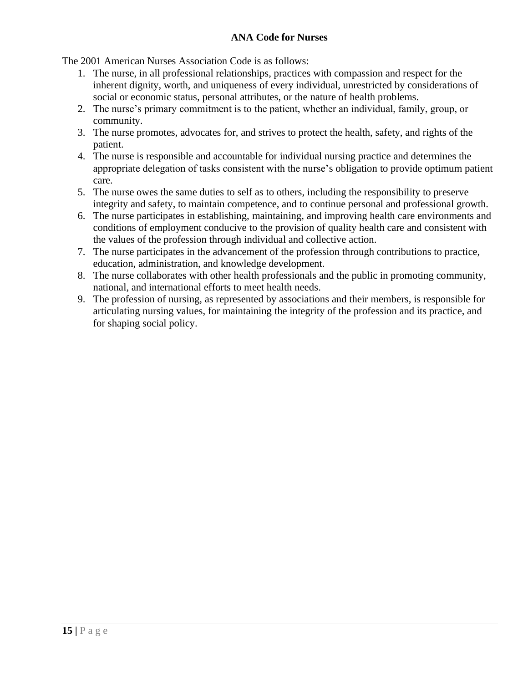# **ANA Code for Nurses**

The 2001 American Nurses Association Code is as follows:

- 1. The nurse, in all professional relationships, practices with compassion and respect for the inherent dignity, worth, and uniqueness of every individual, unrestricted by considerations of social or economic status, personal attributes, or the nature of health problems.
- 2. The nurse's primary commitment is to the patient, whether an individual, family, group, or community.
- 3. The nurse promotes, advocates for, and strives to protect the health, safety, and rights of the patient.
- 4. The nurse is responsible and accountable for individual nursing practice and determines the appropriate delegation of tasks consistent with the nurse's obligation to provide optimum patient care.
- 5. The nurse owes the same duties to self as to others, including the responsibility to preserve integrity and safety, to maintain competence, and to continue personal and professional growth.
- 6. The nurse participates in establishing, maintaining, and improving health care environments and conditions of employment conducive to the provision of quality health care and consistent with the values of the profession through individual and collective action.
- 7. The nurse participates in the advancement of the profession through contributions to practice, education, administration, and knowledge development.
- 8. The nurse collaborates with other health professionals and the public in promoting community, national, and international efforts to meet health needs.
- 9. The profession of nursing, as represented by associations and their members, is responsible for articulating nursing values, for maintaining the integrity of the profession and its practice, and for shaping social policy.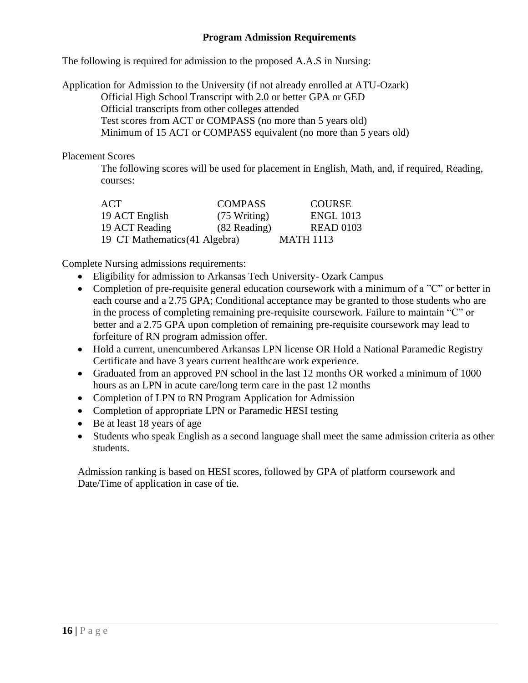# **Program Admission Requirements**

The following is required for admission to the proposed A.A.S in Nursing:

Application for Admission to the University (if not already enrolled at ATU-Ozark) Official High School Transcript with 2.0 or better GPA or GED Official transcripts from other colleges attended

Test scores from ACT or COMPASS (no more than 5 years old)

Minimum of 15 ACT or COMPASS equivalent (no more than 5 years old)

Placement Scores

The following scores will be used for placement in English, Math, and, if required, Reading, courses:

| ACT                            | <b>COMPASS</b>         | <b>COURSE</b>    |
|--------------------------------|------------------------|------------------|
| 19 ACT English                 | $(75 \text{ Writing})$ | <b>ENGL 1013</b> |
| 19 ACT Reading                 | $(82$ Reading)         | <b>READ 0103</b> |
| 19 CT Mathematics (41 Algebra) |                        | <b>MATH 1113</b> |

Complete Nursing admissions requirements:

- Eligibility for admission to Arkansas Tech University- Ozark Campus
- Completion of pre-requisite general education coursework with a minimum of a "C" or better in each course and a 2.75 GPA; Conditional acceptance may be granted to those students who are in the process of completing remaining pre-requisite coursework. Failure to maintain "C" or better and a 2.75 GPA upon completion of remaining pre-requisite coursework may lead to forfeiture of RN program admission offer.
- Hold a current, unencumbered Arkansas LPN license OR Hold a National Paramedic Registry Certificate and have 3 years current healthcare work experience.
- Graduated from an approved PN school in the last 12 months OR worked a minimum of 1000 hours as an LPN in acute care/long term care in the past 12 months
- Completion of LPN to RN Program Application for Admission
- Completion of appropriate LPN or Paramedic HESI testing
- Be at least 18 years of age
- Students who speak English as a second language shall meet the same admission criteria as other students.

Admission ranking is based on HESI scores, followed by GPA of platform coursework and Date/Time of application in case of tie.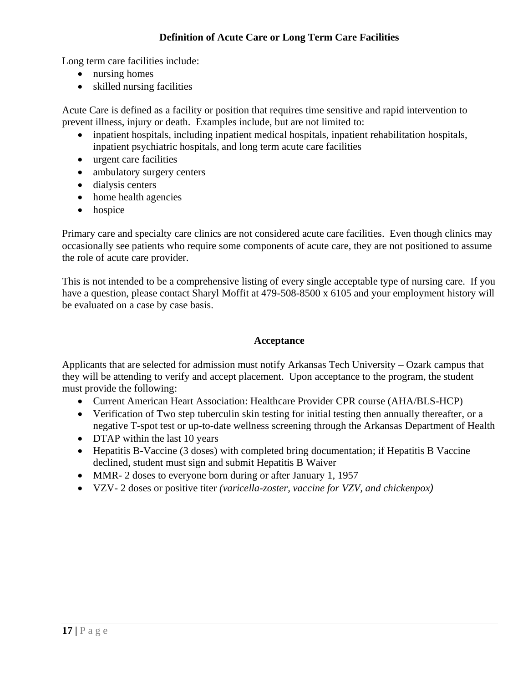# **Definition of Acute Care or Long Term Care Facilities**

Long term care facilities include:

- nursing homes
- skilled nursing facilities

Acute Care is defined as a facility or position that requires time sensitive and rapid intervention to prevent illness, injury or death. Examples include, but are not limited to:

- inpatient hospitals, including inpatient medical hospitals, inpatient rehabilitation hospitals, inpatient psychiatric hospitals, and long term acute care facilities
- urgent care facilities
- ambulatory surgery centers
- dialysis centers
- home health agencies
- hospice

Primary care and specialty care clinics are not considered acute care facilities. Even though clinics may occasionally see patients who require some components of acute care, they are not positioned to assume the role of acute care provider.

This is not intended to be a comprehensive listing of every single acceptable type of nursing care. If you have a question, please contact Sharyl Moffit at 479-508-8500 x 6105 and your employment history will be evaluated on a case by case basis.

## **Acceptance**

Applicants that are selected for admission must notify Arkansas Tech University – Ozark campus that they will be attending to verify and accept placement. Upon acceptance to the program, the student must provide the following:

- Current American Heart Association: Healthcare Provider CPR course (AHA/BLS-HCP)
- Verification of Two step tuberculin skin testing for initial testing then annually thereafter, or a negative T-spot test or up-to-date wellness screening through the Arkansas Department of Health
- DTAP within the last 10 years
- Hepatitis B-Vaccine (3 doses) with completed bring documentation; if Hepatitis B Vaccine declined, student must sign and submit Hepatitis B Waiver
- MMR- 2 doses to everyone born during or after January 1, 1957
- VZV- 2 doses or positive titer *(varicella-zoster, vaccine for VZV, and chickenpox)*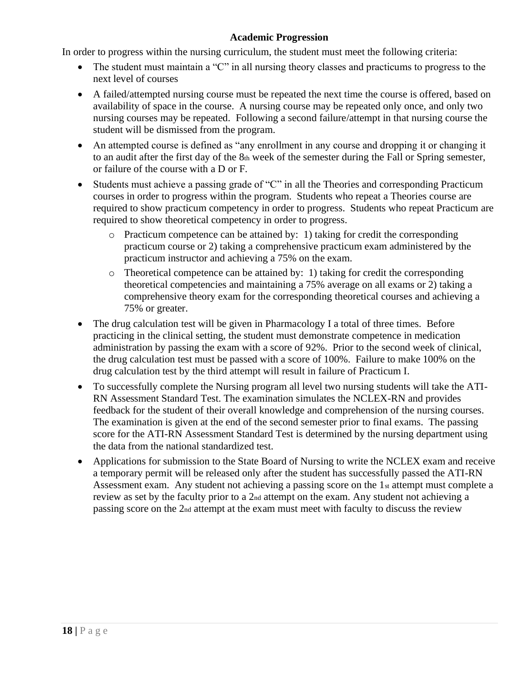# **Academic Progression**

In order to progress within the nursing curriculum, the student must meet the following criteria:

- The student must maintain a "C" in all nursing theory classes and practicums to progress to the next level of courses
- A failed/attempted nursing course must be repeated the next time the course is offered, based on availability of space in the course. A nursing course may be repeated only once, and only two nursing courses may be repeated. Following a second failure/attempt in that nursing course the student will be dismissed from the program.
- An attempted course is defined as "any enrollment in any course and dropping it or changing it to an audit after the first day of the 8th week of the semester during the Fall or Spring semester, or failure of the course with a D or F.
- Students must achieve a passing grade of "C" in all the Theories and corresponding Practicum courses in order to progress within the program. Students who repeat a Theories course are required to show practicum competency in order to progress. Students who repeat Practicum are required to show theoretical competency in order to progress.
	- o Practicum competence can be attained by: 1) taking for credit the corresponding practicum course or 2) taking a comprehensive practicum exam administered by the practicum instructor and achieving a 75% on the exam.
	- o Theoretical competence can be attained by: 1) taking for credit the corresponding theoretical competencies and maintaining a 75% average on all exams or 2) taking a comprehensive theory exam for the corresponding theoretical courses and achieving a 75% or greater.
- The drug calculation test will be given in Pharmacology I a total of three times. Before practicing in the clinical setting, the student must demonstrate competence in medication administration by passing the exam with a score of 92%. Prior to the second week of clinical, the drug calculation test must be passed with a score of 100%. Failure to make 100% on the drug calculation test by the third attempt will result in failure of Practicum I.
- To successfully complete the Nursing program all level two nursing students will take the ATI-RN Assessment Standard Test. The examination simulates the NCLEX-RN and provides feedback for the student of their overall knowledge and comprehension of the nursing courses. The examination is given at the end of the second semester prior to final exams. The passing score for the ATI-RN Assessment Standard Test is determined by the nursing department using the data from the national standardized test.
- Applications for submission to the State Board of Nursing to write the NCLEX exam and receive a temporary permit will be released only after the student has successfully passed the ATI-RN Assessment exam. Any student not achieving a passing score on the 1st attempt must complete a review as set by the faculty prior to a 2nd attempt on the exam. Any student not achieving a passing score on the 2nd attempt at the exam must meet with faculty to discuss the review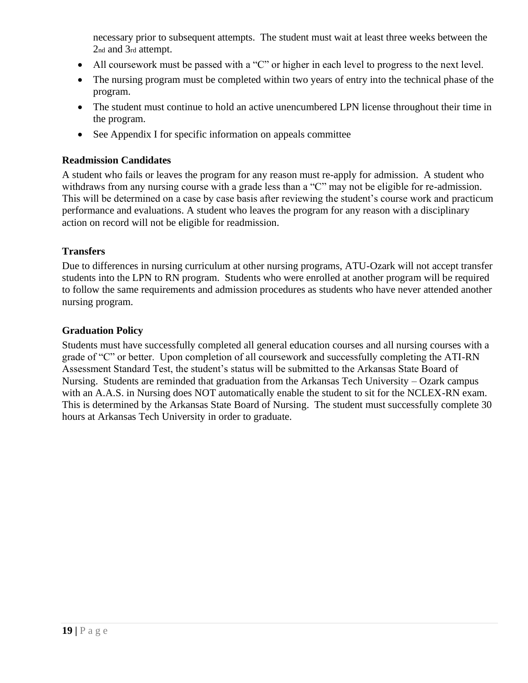necessary prior to subsequent attempts. The student must wait at least three weeks between the 2nd and 3rd attempt.

- All coursework must be passed with a "C" or higher in each level to progress to the next level.
- The nursing program must be completed within two years of entry into the technical phase of the program.
- The student must continue to hold an active unencumbered LPN license throughout their time in the program.
- See Appendix I for specific information on appeals committee

## **Readmission Candidates**

A student who fails or leaves the program for any reason must re-apply for admission. A student who withdraws from any nursing course with a grade less than a "C" may not be eligible for re-admission. This will be determined on a case by case basis after reviewing the student's course work and practicum performance and evaluations. A student who leaves the program for any reason with a disciplinary action on record will not be eligible for readmission.

# **Transfers**

Due to differences in nursing curriculum at other nursing programs, ATU-Ozark will not accept transfer students into the LPN to RN program. Students who were enrolled at another program will be required to follow the same requirements and admission procedures as students who have never attended another nursing program.

## **Graduation Policy**

Students must have successfully completed all general education courses and all nursing courses with a grade of "C" or better. Upon completion of all coursework and successfully completing the ATI-RN Assessment Standard Test, the student's status will be submitted to the Arkansas State Board of Nursing. Students are reminded that graduation from the Arkansas Tech University – Ozark campus with an A.A.S. in Nursing does NOT automatically enable the student to sit for the NCLEX-RN exam. This is determined by the Arkansas State Board of Nursing. The student must successfully complete 30 hours at Arkansas Tech University in order to graduate.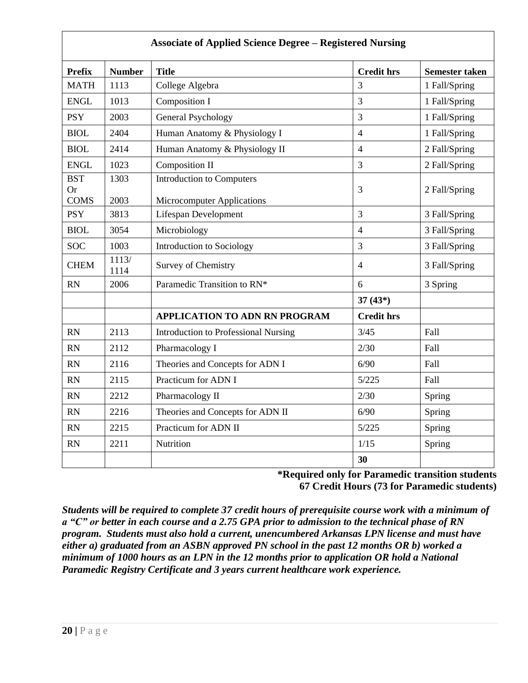| <b>Prefix</b>                          | <b>Number</b> | <b>Title</b>                                                          | <b>Credit hrs</b> | <b>Semester taken</b> |
|----------------------------------------|---------------|-----------------------------------------------------------------------|-------------------|-----------------------|
| <b>MATH</b>                            | 1113          | College Algebra                                                       | $\overline{3}$    | 1 Fall/Spring         |
| <b>ENGL</b>                            | 1013          | Composition I                                                         | 3                 | 1 Fall/Spring         |
| <b>PSY</b>                             | 2003          | <b>General Psychology</b>                                             | $\overline{3}$    | 1 Fall/Spring         |
| <b>BIOL</b>                            | 2404          | Human Anatomy & Physiology I                                          | $\overline{4}$    | 1 Fall/Spring         |
| <b>BIOL</b>                            | 2414          | Human Anatomy & Physiology II                                         | $\overline{4}$    | 2 Fall/Spring         |
| ${\rm ENGL}$                           | 1023          | Composition II                                                        | $\overline{3}$    | 2 Fall/Spring         |
| <b>BST</b><br><b>Or</b><br><b>COMS</b> | 1303<br>2003  | <b>Introduction to Computers</b><br><b>Microcomputer Applications</b> | 3                 | 2 Fall/Spring         |
| <b>PSY</b>                             | 3813          | Lifespan Development                                                  | $\overline{3}$    | 3 Fall/Spring         |
| <b>BIOL</b>                            | 3054          | Microbiology                                                          | $\overline{4}$    | 3 Fall/Spring         |
| <b>SOC</b>                             | 1003          | Introduction to Sociology                                             | $\mathfrak{Z}$    | 3 Fall/Spring         |
| <b>CHEM</b>                            | 1113/<br>1114 | Survey of Chemistry                                                   | $\overline{4}$    | 3 Fall/Spring         |
| <b>RN</b>                              | 2006          | Paramedic Transition to RN*                                           | 6                 | 3 Spring              |
|                                        |               |                                                                       | $37(43*)$         |                       |
|                                        |               | APPLICATION TO ADN RN PROGRAM                                         | <b>Credit hrs</b> |                       |
| RN                                     | 2113          | <b>Introduction to Professional Nursing</b>                           | 3/45              | Fall                  |
| <b>RN</b>                              | 2112          | Pharmacology I                                                        | 2/30              | Fall                  |
| <b>RN</b>                              | 2116          | Theories and Concepts for ADN I                                       | 6/90              | Fall                  |
| <b>RN</b>                              | 2115          | Practicum for ADN I                                                   | 5/225             | Fall                  |
| RN                                     | 2212          | Pharmacology II                                                       | 2/30              | Spring                |
| RN                                     | 2216          | Theories and Concepts for ADN II                                      | 6/90              | Spring                |
| RN                                     | 2215          | Practicum for ADN II                                                  | 5/225             | Spring                |
| <b>RN</b>                              | 2211          | Nutrition                                                             | 1/15              | Spring                |
|                                        |               |                                                                       | 30                |                       |

# **\*Required only for Paramedic transition students 67 Credit Hours (73 for Paramedic students)**

*Students will be required to complete 37 credit hours of prerequisite course work with a minimum of a "C" or better in each course and a 2.75 GPA prior to admission to the technical phase of RN program. Students must also hold a current, unencumbered Arkansas LPN license and must have either a) graduated from an ASBN approved PN school in the past 12 months OR b) worked a minimum of 1000 hours as an LPN in the 12 months prior to application OR hold a National Paramedic Registry Certificate and 3 years current healthcare work experience.*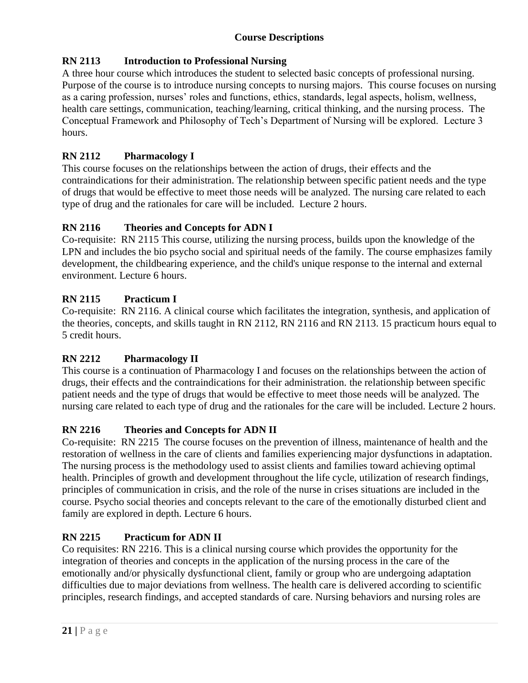# **RN 2113 Introduction to Professional Nursing**

A three hour course which introduces the student to selected basic concepts of professional nursing. Purpose of the course is to introduce nursing concepts to nursing majors. This course focuses on nursing as a caring profession, nurses' roles and functions, ethics, standards, legal aspects, holism, wellness, health care settings, communication, teaching/learning, critical thinking, and the nursing process. The Conceptual Framework and Philosophy of Tech's Department of Nursing will be explored. Lecture 3 hours.

# **RN 2112 Pharmacology I**

This course focuses on the relationships between the action of drugs, their effects and the contraindications for their administration. The relationship between specific patient needs and the type of drugs that would be effective to meet those needs will be analyzed. The nursing care related to each type of drug and the rationales for care will be included. Lecture 2 hours.

# **RN 2116 Theories and Concepts for ADN I**

Co-requisite: RN 2115 This course, utilizing the nursing process, builds upon the knowledge of the LPN and includes the bio psycho social and spiritual needs of the family. The course emphasizes family development, the childbearing experience, and the child's unique response to the internal and external environment. Lecture 6 hours.

# **RN 2115 Practicum I**

Co-requisite: RN 2116. A clinical course which facilitates the integration, synthesis, and application of the theories, concepts, and skills taught in RN 2112, RN 2116 and RN 2113. 15 practicum hours equal to 5 credit hours.

# **RN 2212 Pharmacology II**

This course is a continuation of Pharmacology I and focuses on the relationships between the action of drugs, their effects and the contraindications for their administration. the relationship between specific patient needs and the type of drugs that would be effective to meet those needs will be analyzed. The nursing care related to each type of drug and the rationales for the care will be included. Lecture 2 hours.

# **RN 2216 Theories and Concepts for ADN II**

Co-requisite: RN 2215 The course focuses on the prevention of illness, maintenance of health and the restoration of wellness in the care of clients and families experiencing major dysfunctions in adaptation. The nursing process is the methodology used to assist clients and families toward achieving optimal health. Principles of growth and development throughout the life cycle, utilization of research findings, principles of communication in crisis, and the role of the nurse in crises situations are included in the course. Psycho social theories and concepts relevant to the care of the emotionally disturbed client and family are explored in depth. Lecture 6 hours.

# **RN 2215 Practicum for ADN II**

Co requisites: RN 2216. This is a clinical nursing course which provides the opportunity for the integration of theories and concepts in the application of the nursing process in the care of the emotionally and/or physically dysfunctional client, family or group who are undergoing adaptation difficulties due to major deviations from wellness. The health care is delivered according to scientific principles, research findings, and accepted standards of care. Nursing behaviors and nursing roles are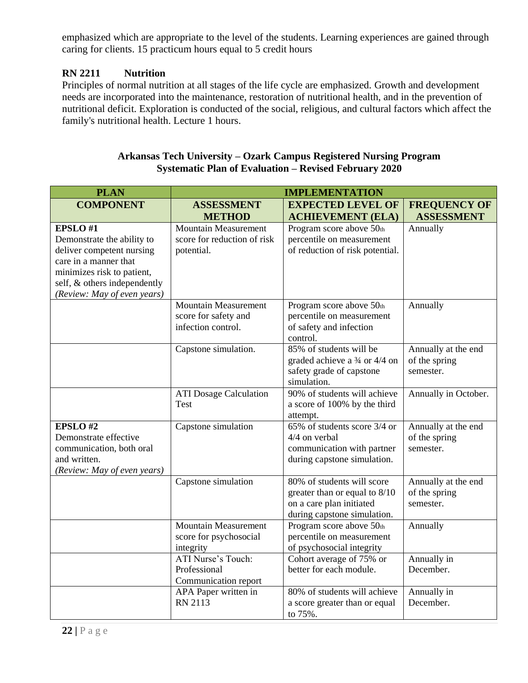emphasized which are appropriate to the level of the students. Learning experiences are gained through caring for clients. 15 practicum hours equal to 5 credit hours

# **RN 2211 Nutrition**

Principles of normal nutrition at all stages of the life cycle are emphasized. Growth and development needs are incorporated into the maintenance, restoration of nutritional health, and in the prevention of nutritional deficit. Exploration is conducted of the social, religious, and cultural factors which affect the family's nutritional health. Lecture 1 hours.

## **Arkansas Tech University – Ozark Campus Registered Nursing Program Systematic Plan of Evaluation – Revised February 2020**

| <b>PLAN</b>                              | <b>IMPLEMENTATION</b>                  |                                                           |                            |
|------------------------------------------|----------------------------------------|-----------------------------------------------------------|----------------------------|
| <b>COMPONENT</b>                         | <b>ASSESSMENT</b>                      | <b>EXPECTED LEVEL OF</b>                                  | <b>FREQUENCY OF</b>        |
|                                          | <b>METHOD</b>                          | <b>ACHIEVEMENT (ELA)</b>                                  | <b>ASSESSMENT</b>          |
| EPSLO#1                                  | <b>Mountain Measurement</b>            | Program score above 50th                                  | Annually                   |
| Demonstrate the ability to               | score for reduction of risk            | percentile on measurement                                 |                            |
| deliver competent nursing                | potential.                             | of reduction of risk potential.                           |                            |
| care in a manner that                    |                                        |                                                           |                            |
| minimizes risk to patient,               |                                        |                                                           |                            |
| self, & others independently             |                                        |                                                           |                            |
| (Review: May of even years)              | <b>Mountain Measurement</b>            |                                                           |                            |
|                                          | score for safety and                   | Program score above 50th<br>percentile on measurement     | Annually                   |
|                                          | infection control.                     | of safety and infection                                   |                            |
|                                          |                                        | control.                                                  |                            |
|                                          | Capstone simulation.                   | 85% of students will be                                   | Annually at the end        |
|                                          |                                        | graded achieve a 3⁄4 or 4/4 on                            | of the spring              |
|                                          |                                        | safety grade of capstone                                  | semester.                  |
|                                          |                                        | simulation.                                               |                            |
|                                          | <b>ATI</b> Dosage Calculation          | 90% of students will achieve                              | Annually in October.       |
|                                          | <b>Test</b>                            | a score of 100% by the third                              |                            |
|                                          |                                        | attempt.                                                  |                            |
| EPSLO#2                                  | Capstone simulation                    | 65% of students score 3/4 or                              | Annually at the end        |
| Demonstrate effective                    |                                        | 4/4 on verbal                                             | of the spring<br>semester. |
| communication, both oral<br>and written. |                                        | communication with partner<br>during capstone simulation. |                            |
| (Review: May of even years)              |                                        |                                                           |                            |
|                                          | Capstone simulation                    | 80% of students will score                                | Annually at the end        |
|                                          |                                        | greater than or equal to 8/10                             | of the spring              |
|                                          |                                        | on a care plan initiated                                  | semester.                  |
|                                          |                                        | during capstone simulation.                               |                            |
|                                          | <b>Mountain Measurement</b>            | Program score above $50th$                                | Annually                   |
|                                          | score for psychosocial                 | percentile on measurement                                 |                            |
|                                          | integrity                              | of psychosocial integrity                                 |                            |
|                                          | ATI Nurse's Touch:                     | Cohort average of 75% or                                  | Annually in                |
|                                          | Professional                           | better for each module.                                   | December.                  |
|                                          | Communication report                   | 80% of students will achieve                              |                            |
|                                          | APA Paper written in<br><b>RN 2113</b> |                                                           | Annually in                |
|                                          |                                        | a score greater than or equal<br>to 75%.                  | December.                  |
|                                          |                                        |                                                           |                            |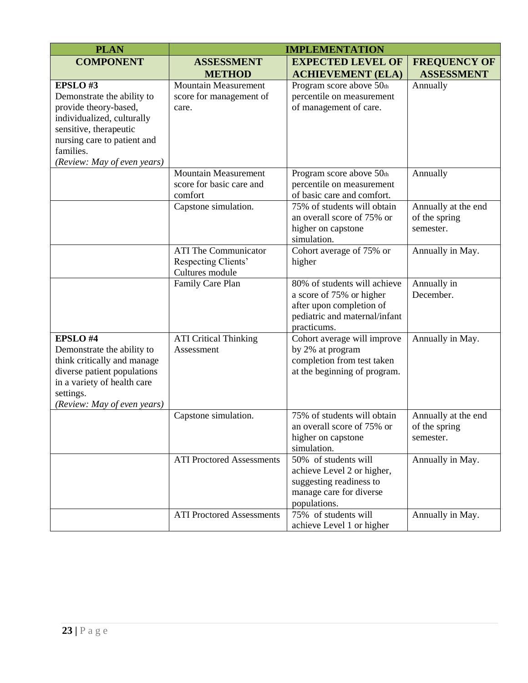| <b>PLAN</b>                                                                                                                                                                                       | <b>IMPLEMENTATION</b>                                                                      |                                                                                                                                                                                       |                                                               |
|---------------------------------------------------------------------------------------------------------------------------------------------------------------------------------------------------|--------------------------------------------------------------------------------------------|---------------------------------------------------------------------------------------------------------------------------------------------------------------------------------------|---------------------------------------------------------------|
| <b>COMPONENT</b>                                                                                                                                                                                  | <b>ASSESSMENT</b>                                                                          | <b>EXPECTED LEVEL OF</b>                                                                                                                                                              | <b>FREQUENCY OF</b>                                           |
|                                                                                                                                                                                                   | <b>METHOD</b>                                                                              | <b>ACHIEVEMENT (ELA)</b>                                                                                                                                                              | <b>ASSESSMENT</b>                                             |
| EPSLO#3<br>Demonstrate the ability to<br>provide theory-based,<br>individualized, culturally<br>sensitive, therapeutic<br>nursing care to patient and<br>families.<br>(Review: May of even years) | <b>Mountain Measurement</b><br>score for management of<br>care.                            | Program score above 50th<br>percentile on measurement<br>of management of care.                                                                                                       | Annually                                                      |
|                                                                                                                                                                                                   | <b>Mountain Measurement</b><br>score for basic care and<br>comfort<br>Capstone simulation. | Program score above 50th<br>percentile on measurement<br>of basic care and comfort.<br>75% of students will obtain<br>an overall score of 75% or<br>higher on capstone<br>simulation. | Annually<br>Annually at the end<br>of the spring<br>semester. |
|                                                                                                                                                                                                   | <b>ATI The Communicator</b><br>Respecting Clients'<br>Cultures module                      | Cohort average of 75% or<br>higher                                                                                                                                                    | Annually in May.                                              |
|                                                                                                                                                                                                   | Family Care Plan                                                                           | 80% of students will achieve<br>a score of 75% or higher<br>after upon completion of<br>pediatric and maternal/infant<br>practicums.                                                  | Annually in<br>December.                                      |
| EPSLO#4<br>Demonstrate the ability to<br>think critically and manage<br>diverse patient populations<br>in a variety of health care<br>settings.<br>(Review: May of even years)                    | <b>ATI Critical Thinking</b><br>Assessment                                                 | Cohort average will improve<br>by 2% at program<br>completion from test taken<br>at the beginning of program.                                                                         | Annually in May.                                              |
|                                                                                                                                                                                                   | Capstone simulation.                                                                       | 75% of students will obtain<br>an overall score of 75% or<br>higher on capstone<br>simulation.                                                                                        | Annually at the end<br>of the spring<br>semester.             |
|                                                                                                                                                                                                   | <b>ATI Proctored Assessments</b>                                                           | $\overline{50\%}$ of students will<br>achieve Level 2 or higher,<br>suggesting readiness to<br>manage care for diverse<br>populations.                                                | Annually in May.                                              |
|                                                                                                                                                                                                   | <b>ATI Proctored Assessments</b>                                                           | 75% of students will<br>achieve Level 1 or higher                                                                                                                                     | Annually in May.                                              |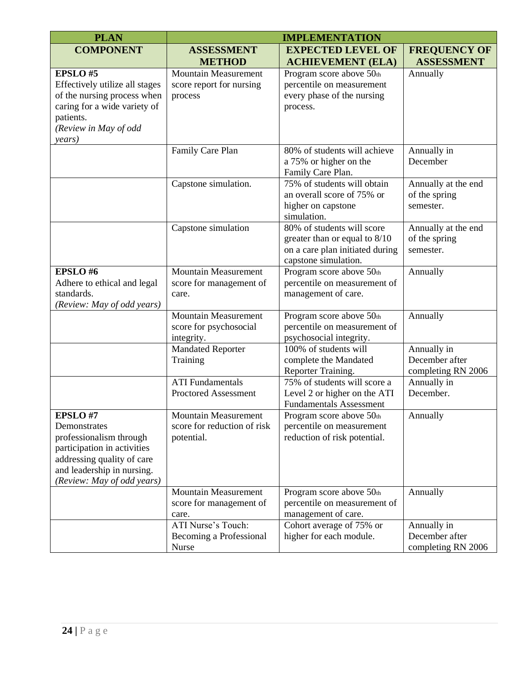| <b>PLAN</b>                    | <b>IMPLEMENTATION</b>                                  |                                                                |                               |
|--------------------------------|--------------------------------------------------------|----------------------------------------------------------------|-------------------------------|
| <b>COMPONENT</b>               | <b>ASSESSMENT</b>                                      | <b>EXPECTED LEVEL OF</b>                                       | <b>FREQUENCY OF</b>           |
|                                | <b>METHOD</b>                                          | <b>ACHIEVEMENT (ELA)</b>                                       | <b>ASSESSMENT</b>             |
| <b>EPSLO#5</b>                 | <b>Mountain Measurement</b>                            | Program score above 50th                                       | Annually                      |
| Effectively utilize all stages | score report for nursing                               | percentile on measurement                                      |                               |
| of the nursing process when    | process                                                | every phase of the nursing                                     |                               |
| caring for a wide variety of   |                                                        | process.                                                       |                               |
| patients.                      |                                                        |                                                                |                               |
| (Review in May of odd          |                                                        |                                                                |                               |
| years)                         | Family Care Plan                                       | 80% of students will achieve                                   | Annually in                   |
|                                |                                                        | a 75% or higher on the                                         | December                      |
|                                |                                                        | Family Care Plan.                                              |                               |
|                                | Capstone simulation.                                   | 75% of students will obtain                                    | Annually at the end           |
|                                |                                                        | an overall score of 75% or                                     | of the spring                 |
|                                |                                                        | higher on capstone                                             | semester.                     |
|                                |                                                        | simulation.                                                    |                               |
|                                | Capstone simulation                                    | 80% of students will score                                     | Annually at the end           |
|                                |                                                        | greater than or equal to 8/10                                  | of the spring                 |
|                                |                                                        | on a care plan initiated during                                | semester.                     |
| EPSLO#6                        |                                                        | capstone simulation.                                           |                               |
| Adhere to ethical and legal    | <b>Mountain Measurement</b><br>score for management of | Program score above 50th<br>percentile on measurement of       | Annually                      |
| standards.                     | care.                                                  | management of care.                                            |                               |
| (Review: May of odd years)     |                                                        |                                                                |                               |
|                                | <b>Mountain Measurement</b>                            | Program score above 50th                                       | Annually                      |
|                                | score for psychosocial                                 | percentile on measurement of                                   |                               |
|                                | integrity.                                             | psychosocial integrity.                                        |                               |
|                                | <b>Mandated Reporter</b>                               | 100% of students will                                          | Annually in                   |
|                                | Training                                               | complete the Mandated                                          | December after                |
|                                |                                                        | Reporter Training.                                             | completing RN 2006            |
|                                | <b>ATI</b> Fundamentals<br><b>Proctored Assessment</b> | 75% of students will score a                                   | Annually in<br>December.      |
|                                |                                                        | Level 2 or higher on the ATI<br><b>Fundamentals Assessment</b> |                               |
| EPSLO#7                        | <b>Mountain Measurement</b>                            | Program score above 50th                                       | Annually                      |
| Demonstrates                   | score for reduction of risk                            | percentile on measurement                                      |                               |
| professionalism through        | potential.                                             | reduction of risk potential.                                   |                               |
| participation in activities    |                                                        |                                                                |                               |
| addressing quality of care     |                                                        |                                                                |                               |
| and leadership in nursing.     |                                                        |                                                                |                               |
| (Review: May of odd years)     |                                                        |                                                                |                               |
|                                | <b>Mountain Measurement</b>                            | Program score above 50th                                       | Annually                      |
|                                | score for management of                                | percentile on measurement of                                   |                               |
|                                | care.<br>ATI Nurse's Touch:                            | management of care.                                            |                               |
|                                | Becoming a Professional                                | Cohort average of 75% or<br>higher for each module.            | Annually in<br>December after |
|                                | Nurse                                                  |                                                                | completing RN 2006            |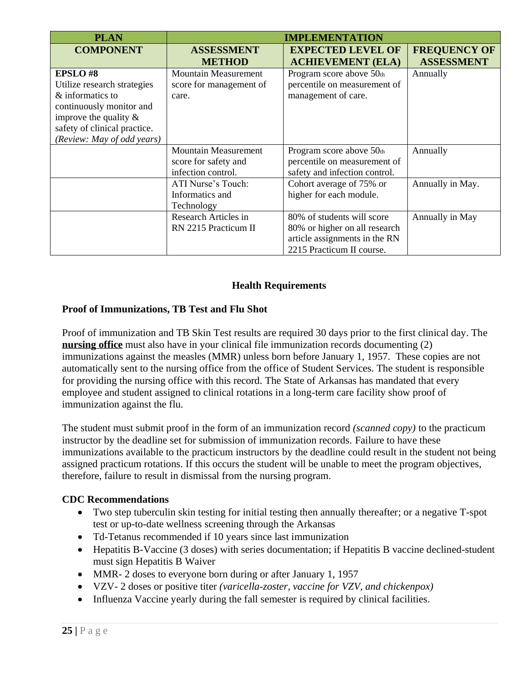| <b>PLAN</b>                  | <b>IMPLEMENTATION</b>       |                               |                     |
|------------------------------|-----------------------------|-------------------------------|---------------------|
| <b>COMPONENT</b>             | <b>ASSESSMENT</b>           | <b>EXPECTED LEVEL OF</b>      | <b>FREQUENCY OF</b> |
|                              | <b>METHOD</b>               | <b>ACHIEVEMENT (ELA)</b>      | <b>ASSESSMENT</b>   |
| <b>EPSLO#8</b>               | <b>Mountain Measurement</b> | Program score above 50th      | Annually            |
| Utilize research strategies  | score for management of     | percentile on measurement of  |                     |
| & informatics to             | care.                       | management of care.           |                     |
| continuously monitor and     |                             |                               |                     |
| improve the quality $\&$     |                             |                               |                     |
| safety of clinical practice. |                             |                               |                     |
| (Review: May of odd years)   |                             |                               |                     |
|                              | <b>Mountain Measurement</b> | Program score above 50th      | Annually            |
|                              | score for safety and        | percentile on measurement of  |                     |
|                              | infection control.          | safety and infection control. |                     |
|                              | ATI Nurse's Touch:          | Cohort average of 75% or      | Annually in May.    |
|                              | Informatics and             | higher for each module.       |                     |
|                              | Technology                  |                               |                     |
|                              | Research Articles in        | 80% of students will score    | Annually in May     |
|                              | RN 2215 Practicum II        | 80% or higher on all research |                     |
|                              |                             | article assignments in the RN |                     |
|                              |                             | 2215 Practicum II course.     |                     |

# **Health Requirements**

# **Proof of Immunizations, TB Test and Flu Shot**

Proof of immunization and TB Skin Test results are required 30 days prior to the first clinical day. The **nursing office** must also have in your clinical file immunization records documenting (2) immunizations against the measles (MMR) unless born before January 1, 1957. These copies are not automatically sent to the nursing office from the office of Student Services. The student is responsible for providing the nursing office with this record. The State of Arkansas has mandated that every employee and student assigned to clinical rotations in a long-term care facility show proof of immunization against the flu.

The student must submit proof in the form of an immunization record *(scanned copy)* to the practicum instructor by the deadline set for submission of immunization records. Failure to have these immunizations available to the practicum instructors by the deadline could result in the student not being assigned practicum rotations. If this occurs the student will be unable to meet the program objectives, therefore, failure to result in dismissal from the nursing program.

# **CDC Recommendations**

- Two step tuberculin skin testing for initial testing then annually thereafter; or a negative T-spot test or up-to-date wellness screening through the Arkansas
- Td-Tetanus recommended if 10 years since last immunization
- Hepatitis B-Vaccine (3 doses) with series documentation; if Hepatitis B vaccine declined-student must sign Hepatitis B Waiver
- MMR- 2 doses to everyone born during or after January 1, 1957
- VZV- 2 doses or positive titer *(varicella-zoster, vaccine for VZV, and chickenpox)*
- Influenza Vaccine yearly during the fall semester is required by clinical facilities.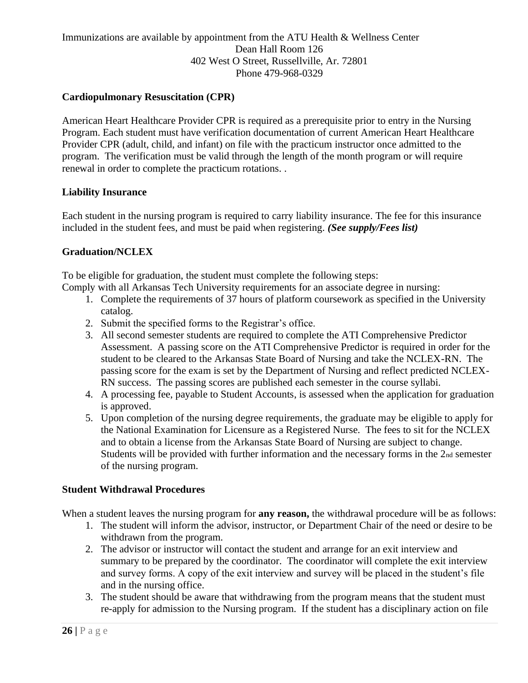## Immunizations are available by appointment from the ATU Health & Wellness Center Dean Hall Room 126 402 West O Street, Russellville, Ar. 72801 Phone 479-968-0329

# **Cardiopulmonary Resuscitation (CPR)**

American Heart Healthcare Provider CPR is required as a prerequisite prior to entry in the Nursing Program. Each student must have verification documentation of current American Heart Healthcare Provider CPR (adult, child, and infant) on file with the practicum instructor once admitted to the program. The verification must be valid through the length of the month program or will require renewal in order to complete the practicum rotations. .

## **Liability Insurance**

Each student in the nursing program is required to carry liability insurance. The fee for this insurance included in the student fees, and must be paid when registering. *(See supply/Fees list)*

## **Graduation/NCLEX**

To be eligible for graduation, the student must complete the following steps:

Comply with all Arkansas Tech University requirements for an associate degree in nursing:

- 1. Complete the requirements of 37 hours of platform coursework as specified in the University catalog.
- 2. Submit the specified forms to the Registrar's office.
- 3. All second semester students are required to complete the ATI Comprehensive Predictor Assessment. A passing score on the ATI Comprehensive Predictor is required in order for the student to be cleared to the Arkansas State Board of Nursing and take the NCLEX-RN. The passing score for the exam is set by the Department of Nursing and reflect predicted NCLEX-RN success. The passing scores are published each semester in the course syllabi.
- 4. A processing fee, payable to Student Accounts, is assessed when the application for graduation is approved.
- 5. Upon completion of the nursing degree requirements, the graduate may be eligible to apply for the National Examination for Licensure as a Registered Nurse. The fees to sit for the NCLEX and to obtain a license from the Arkansas State Board of Nursing are subject to change. Students will be provided with further information and the necessary forms in the 2nd semester of the nursing program.

#### **Student Withdrawal Procedures**

When a student leaves the nursing program for **any reason**, the withdrawal procedure will be as follows:

- 1. The student will inform the advisor, instructor, or Department Chair of the need or desire to be withdrawn from the program.
- 2. The advisor or instructor will contact the student and arrange for an exit interview and summary to be prepared by the coordinator. The coordinator will complete the exit interview and survey forms. A copy of the exit interview and survey will be placed in the student's file and in the nursing office.
- 3. The student should be aware that withdrawing from the program means that the student must re-apply for admission to the Nursing program. If the student has a disciplinary action on file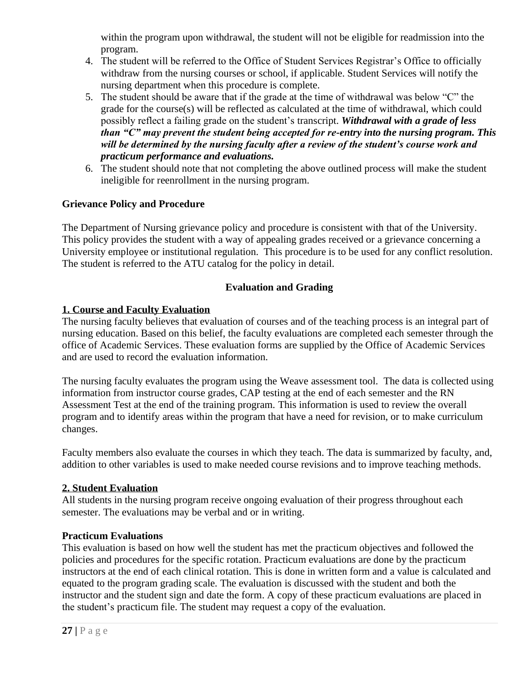within the program upon withdrawal, the student will not be eligible for readmission into the program.

- 4. The student will be referred to the Office of Student Services Registrar's Office to officially withdraw from the nursing courses or school, if applicable. Student Services will notify the nursing department when this procedure is complete.
- 5. The student should be aware that if the grade at the time of withdrawal was below "C" the grade for the course(s) will be reflected as calculated at the time of withdrawal, which could possibly reflect a failing grade on the student's transcript. *Withdrawal with a grade of less than "C" may prevent the student being accepted for re-entry into the nursing program. This will be determined by the nursing faculty after a review of the student's course work and practicum performance and evaluations.*
- 6. The student should note that not completing the above outlined process will make the student ineligible for reenrollment in the nursing program.

# **Grievance Policy and Procedure**

The Department of Nursing grievance policy and procedure is consistent with that of the University. This policy provides the student with a way of appealing grades received or a grievance concerning a University employee or institutional regulation. This procedure is to be used for any conflict resolution. The student is referred to the ATU catalog for the policy in detail.

# **Evaluation and Grading**

# **1. Course and Faculty Evaluation**

The nursing faculty believes that evaluation of courses and of the teaching process is an integral part of nursing education. Based on this belief, the faculty evaluations are completed each semester through the office of Academic Services. These evaluation forms are supplied by the Office of Academic Services and are used to record the evaluation information.

The nursing faculty evaluates the program using the Weave assessment tool. The data is collected using information from instructor course grades, CAP testing at the end of each semester and the RN Assessment Test at the end of the training program. This information is used to review the overall program and to identify areas within the program that have a need for revision, or to make curriculum changes.

Faculty members also evaluate the courses in which they teach. The data is summarized by faculty, and, addition to other variables is used to make needed course revisions and to improve teaching methods.

# **2. Student Evaluation**

All students in the nursing program receive ongoing evaluation of their progress throughout each semester. The evaluations may be verbal and or in writing.

# **Practicum Evaluations**

This evaluation is based on how well the student has met the practicum objectives and followed the policies and procedures for the specific rotation. Practicum evaluations are done by the practicum instructors at the end of each clinical rotation. This is done in written form and a value is calculated and equated to the program grading scale. The evaluation is discussed with the student and both the instructor and the student sign and date the form. A copy of these practicum evaluations are placed in the student's practicum file. The student may request a copy of the evaluation.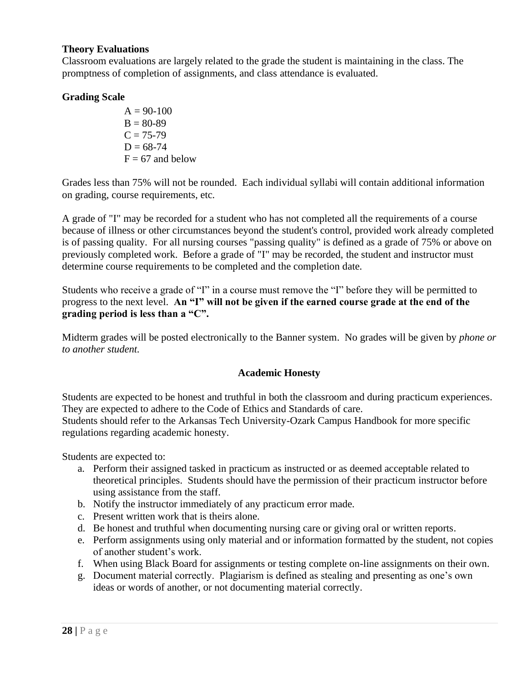## **Theory Evaluations**

Classroom evaluations are largely related to the grade the student is maintaining in the class. The promptness of completion of assignments, and class attendance is evaluated.

# **Grading Scale**

 $A = 90-100$  $B = 80-89$  $C = 75-79$  $D = 68-74$  $F = 67$  and below

Grades less than 75% will not be rounded. Each individual syllabi will contain additional information on grading, course requirements, etc.

A grade of "I" may be recorded for a student who has not completed all the requirements of a course because of illness or other circumstances beyond the student's control, provided work already completed is of passing quality. For all nursing courses "passing quality" is defined as a grade of 75% or above on previously completed work. Before a grade of "I" may be recorded, the student and instructor must determine course requirements to be completed and the completion date.

Students who receive a grade of "I" in a course must remove the "I" before they will be permitted to progress to the next level. **An "I" will not be given if the earned course grade at the end of the grading period is less than a "C".**

Midterm grades will be posted electronically to the Banner system. No grades will be given by *phone or to another student.*

# **Academic Honesty**

Students are expected to be honest and truthful in both the classroom and during practicum experiences. They are expected to adhere to the Code of Ethics and Standards of care. Students should refer to the Arkansas Tech University-Ozark Campus Handbook for more specific regulations regarding academic honesty.

Students are expected to:

- a. Perform their assigned tasked in practicum as instructed or as deemed acceptable related to theoretical principles. Students should have the permission of their practicum instructor before using assistance from the staff.
- b. Notify the instructor immediately of any practicum error made.
- c. Present written work that is theirs alone.
- d. Be honest and truthful when documenting nursing care or giving oral or written reports.
- e. Perform assignments using only material and or information formatted by the student, not copies of another student's work.
- f. When using Black Board for assignments or testing complete on-line assignments on their own.
- g. Document material correctly. Plagiarism is defined as stealing and presenting as one's own ideas or words of another, or not documenting material correctly.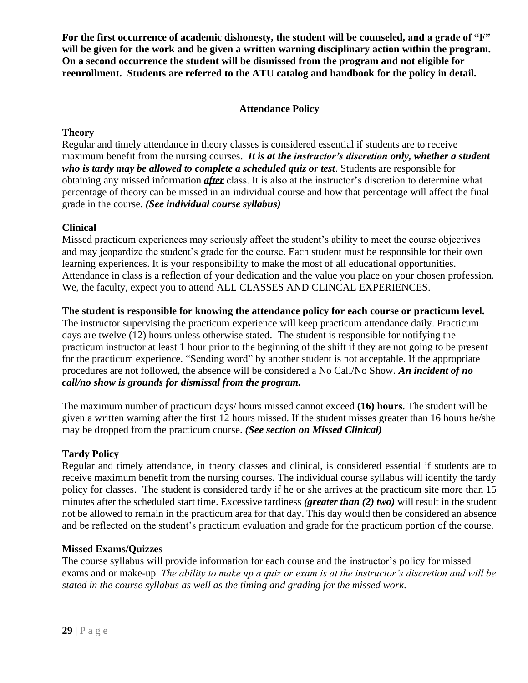**For the first occurrence of academic dishonesty, the student will be counseled, and a grade of "F" will be given for the work and be given a written warning disciplinary action within the program. On a second occurrence the student will be dismissed from the program and not eligible for reenrollment. Students are referred to the ATU catalog and handbook for the policy in detail.** 

# **Attendance Policy**

# **Theory**

Regular and timely attendance in theory classes is considered essential if students are to receive maximum benefit from the nursing courses. *It is at the instructor's discretion only, whether a student*  who is tardy may be allowed to complete a scheduled quiz or test. Students are responsible for obtaining any missed information *after* class. It is also at the instructor's discretion to determine what percentage of theory can be missed in an individual course and how that percentage will affect the final grade in the course. *(See individual course syllabus)*

# **Clinical**

Missed practicum experiences may seriously affect the student's ability to meet the course objectives and may jeopardize the student's grade for the course. Each student must be responsible for their own learning experiences. It is your responsibility to make the most of all educational opportunities. Attendance in class is a reflection of your dedication and the value you place on your chosen profession. We, the faculty, expect you to attend ALL CLASSES AND CLINCAL EXPERIENCES.

**The student is responsible for knowing the attendance policy for each course or practicum level.** The instructor supervising the practicum experience will keep practicum attendance daily. Practicum days are twelve (12) hours unless otherwise stated. The student is responsible for notifying the practicum instructor at least 1 hour prior to the beginning of the shift if they are not going to be present for the practicum experience. "Sending word" by another student is not acceptable. If the appropriate procedures are not followed, the absence will be considered a No Call/No Show. *An incident of no* 

*call/no show is grounds for dismissal from the program.* 

The maximum number of practicum days/ hours missed cannot exceed **(16) hours**. The student will be given a written warning after the first 12 hours missed. If the student misses greater than 16 hours he/she may be dropped from the practicum course. *(See section on Missed Clinical)*

# **Tardy Policy**

Regular and timely attendance, in theory classes and clinical, is considered essential if students are to receive maximum benefit from the nursing courses. The individual course syllabus will identify the tardy policy for classes. The student is considered tardy if he or she arrives at the practicum site more than 15 minutes after the scheduled start time. Excessive tardiness *(greater than (2) two)* will result in the student not be allowed to remain in the practicum area for that day. This day would then be considered an absence and be reflected on the student's practicum evaluation and grade for the practicum portion of the course.

# **Missed Exams/Quizzes**

The course syllabus will provide information for each course and the instructor's policy for missed exams and or make-up. *The ability to make up a quiz or exam is at the instructor's discretion and will be stated in the course syllabus as well as the timing and grading fo*r *the missed work*.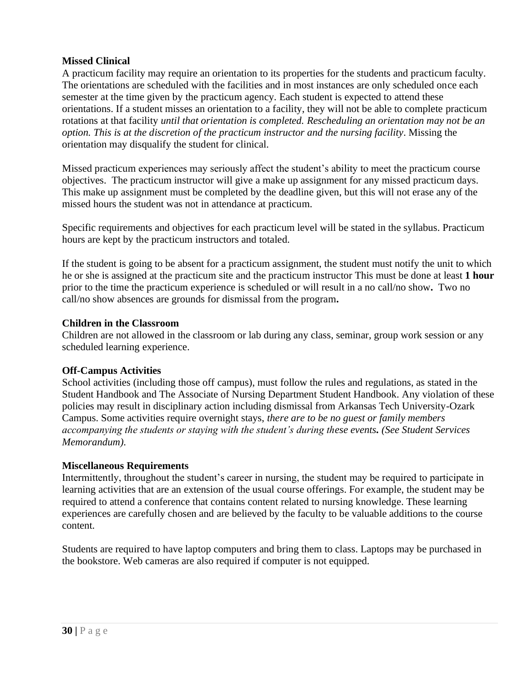# **Missed Clinical**

A practicum facility may require an orientation to its properties for the students and practicum faculty. The orientations are scheduled with the facilities and in most instances are only scheduled once each semester at the time given by the practicum agency. Each student is expected to attend these orientations. If a student misses an orientation to a facility, they will not be able to complete practicum rotations at that facility *until that orientation is completed. Rescheduling an orientation may not be an option. This is at the discretion of the practicum instructor and the nursing facility*. Missing the orientation may disqualify the student for clinical.

Missed practicum experiences may seriously affect the student's ability to meet the practicum course objectives. The practicum instructor will give a make up assignment for any missed practicum days. This make up assignment must be completed by the deadline given, but this will not erase any of the missed hours the student was not in attendance at practicum.

Specific requirements and objectives for each practicum level will be stated in the syllabus. Practicum hours are kept by the practicum instructors and totaled.

If the student is going to be absent for a practicum assignment, the student must notify the unit to which he or she is assigned at the practicum site and the practicum instructor This must be done at least **1 hour** prior to the time the practicum experience is scheduled or will result in a no call/no show**.** Two no call/no show absences are grounds for dismissal from the program**.**

#### **Children in the Classroom**

Children are not allowed in the classroom or lab during any class, seminar, group work session or any scheduled learning experience.

#### **Off-Campus Activities**

School activities (including those off campus), must follow the rules and regulations, as stated in the Student Handbook and The Associate of Nursing Department Student Handbook. Any violation of these policies may result in disciplinary action including dismissal from Arkansas Tech University-Ozark Campus. Some activities require overnight stays, *there are to be no guest or family members accompanying the students or staying with the student's during these events. (See Student Services Memorandum).*

#### **Miscellaneous Requirements**

Intermittently, throughout the student's career in nursing, the student may be required to participate in learning activities that are an extension of the usual course offerings. For example, the student may be required to attend a conference that contains content related to nursing knowledge. These learning experiences are carefully chosen and are believed by the faculty to be valuable additions to the course content.

Students are required to have laptop computers and bring them to class. Laptops may be purchased in the bookstore. Web cameras are also required if computer is not equipped.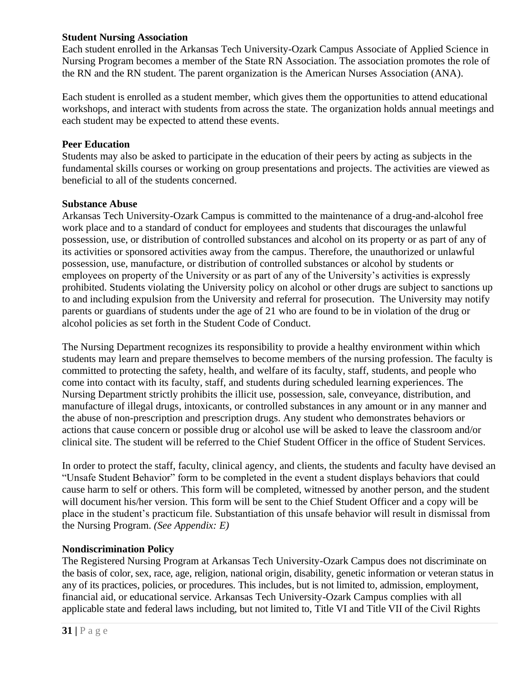# **Student Nursing Association**

Each student enrolled in the Arkansas Tech University-Ozark Campus Associate of Applied Science in Nursing Program becomes a member of the State RN Association. The association promotes the role of the RN and the RN student. The parent organization is the American Nurses Association (ANA).

Each student is enrolled as a student member, which gives them the opportunities to attend educational workshops, and interact with students from across the state. The organization holds annual meetings and each student may be expected to attend these events.

# **Peer Education**

Students may also be asked to participate in the education of their peers by acting as subjects in the fundamental skills courses or working on group presentations and projects. The activities are viewed as beneficial to all of the students concerned.

## **Substance Abuse**

Arkansas Tech University-Ozark Campus is committed to the maintenance of a drug-and-alcohol free work place and to a standard of conduct for employees and students that discourages the unlawful possession, use, or distribution of controlled substances and alcohol on its property or as part of any of its activities or sponsored activities away from the campus. Therefore, the unauthorized or unlawful possession, use, manufacture, or distribution of controlled substances or alcohol by students or employees on property of the University or as part of any of the University's activities is expressly prohibited. Students violating the University policy on alcohol or other drugs are subject to sanctions up to and including expulsion from the University and referral for prosecution. The University may notify parents or guardians of students under the age of 21 who are found to be in violation of the drug or alcohol policies as set forth in the Student Code of Conduct.

The Nursing Department recognizes its responsibility to provide a healthy environment within which students may learn and prepare themselves to become members of the nursing profession. The faculty is committed to protecting the safety, health, and welfare of its faculty, staff, students, and people who come into contact with its faculty, staff, and students during scheduled learning experiences. The Nursing Department strictly prohibits the illicit use, possession, sale, conveyance, distribution, and manufacture of illegal drugs, intoxicants, or controlled substances in any amount or in any manner and the abuse of non-prescription and prescription drugs. Any student who demonstrates behaviors or actions that cause concern or possible drug or alcohol use will be asked to leave the classroom and/or clinical site. The student will be referred to the Chief Student Officer in the office of Student Services.

In order to protect the staff, faculty, clinical agency, and clients, the students and faculty have devised an "Unsafe Student Behavior" form to be completed in the event a student displays behaviors that could cause harm to self or others. This form will be completed, witnessed by another person, and the student will document his/her version. This form will be sent to the Chief Student Officer and a copy will be place in the student's practicum file. Substantiation of this unsafe behavior will result in dismissal from the Nursing Program. *(See Appendix: E)*

# **Nondiscrimination Policy**

The Registered Nursing Program at Arkansas Tech University-Ozark Campus does not discriminate on the basis of color, sex, race, age, religion, national origin, disability, genetic information or veteran status in any of its practices, policies, or procedures. This includes, but is not limited to, admission, employment, financial aid, or educational service. Arkansas Tech University-Ozark Campus complies with all applicable state and federal laws including, but not limited to, Title VI and Title VII of the Civil Rights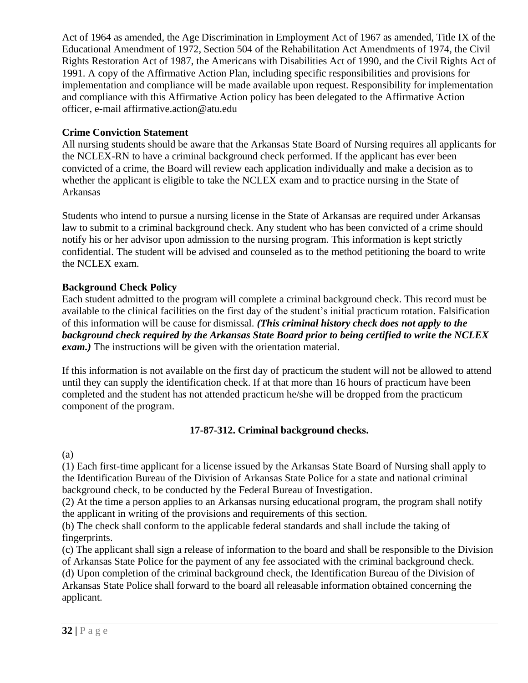Act of 1964 as amended, the Age Discrimination in Employment Act of 1967 as amended, Title IX of the Educational Amendment of 1972, Section 504 of the Rehabilitation Act Amendments of 1974, the Civil Rights Restoration Act of 1987, the Americans with Disabilities Act of 1990, and the Civil Rights Act of 1991. A copy of the Affirmative Action Plan, including specific responsibilities and provisions for implementation and compliance will be made available upon request. Responsibility for implementation and compliance with this Affirmative Action policy has been delegated to the Affirmative Action officer, e-mail affirmative.action@atu.edu

# **Crime Conviction Statement**

All nursing students should be aware that the Arkansas State Board of Nursing requires all applicants for the NCLEX-RN to have a criminal background check performed. If the applicant has ever been convicted of a crime, the Board will review each application individually and make a decision as to whether the applicant is eligible to take the NCLEX exam and to practice nursing in the State of Arkansas

Students who intend to pursue a nursing license in the State of Arkansas are required under Arkansas law to submit to a criminal background check. Any student who has been convicted of a crime should notify his or her advisor upon admission to the nursing program. This information is kept strictly confidential. The student will be advised and counseled as to the method petitioning the board to write the NCLEX exam.

# **Background Check Policy**

Each student admitted to the program will complete a criminal background check. This record must be available to the clinical facilities on the first day of the student's initial practicum rotation. Falsification of this information will be cause for dismissal. *(This criminal history check does not apply to the background check required by the Arkansas State Board prior to being certified to write the NCLEX exam.)* The instructions will be given with the orientation material.

If this information is not available on the first day of practicum the student will not be allowed to attend until they can supply the identification check. If at that more than 16 hours of practicum have been completed and the student has not attended practicum he/she will be dropped from the practicum component of the program.

# **17-87-312. Criminal background checks.**

(a)

(1) Each first-time applicant for a license issued by the Arkansas State Board of Nursing shall apply to the Identification Bureau of the Division of Arkansas State Police for a state and national criminal background check, to be conducted by the Federal Bureau of Investigation.

(2) At the time a person applies to an Arkansas nursing educational program, the program shall notify the applicant in writing of the provisions and requirements of this section.

(b) The check shall conform to the applicable federal standards and shall include the taking of fingerprints.

(c) The applicant shall sign a release of information to the board and shall be responsible to the Division of Arkansas State Police for the payment of any fee associated with the criminal background check.

(d) Upon completion of the criminal background check, the Identification Bureau of the Division of Arkansas State Police shall forward to the board all releasable information obtained concerning the applicant.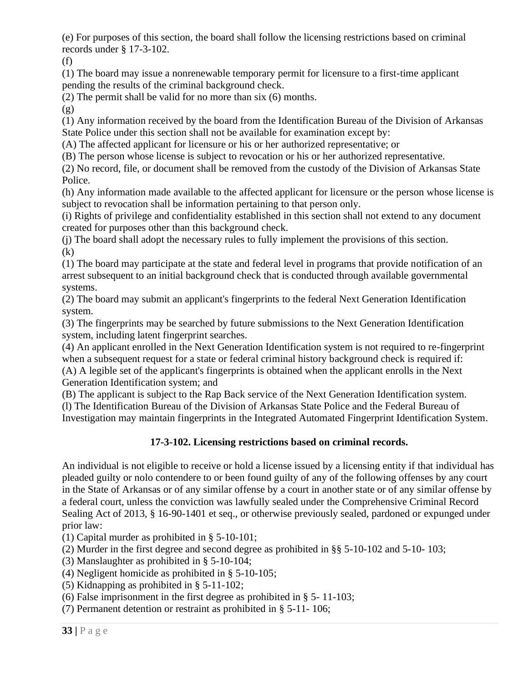(e) For purposes of this section, the board shall follow the licensing restrictions based on criminal records under § 17-3-102.

(f)

(1) The board may issue a nonrenewable temporary permit for licensure to a first-time applicant pending the results of the criminal background check.

(2) The permit shall be valid for no more than six (6) months.

(g)

(1) Any information received by the board from the Identification Bureau of the Division of Arkansas State Police under this section shall not be available for examination except by:

(A) The affected applicant for licensure or his or her authorized representative; or

(B) The person whose license is subject to revocation or his or her authorized representative.

(2) No record, file, or document shall be removed from the custody of the Division of Arkansas State Police.

(h) Any information made available to the affected applicant for licensure or the person whose license is subject to revocation shall be information pertaining to that person only.

(i) Rights of privilege and confidentiality established in this section shall not extend to any document created for purposes other than this background check.

(j) The board shall adopt the necessary rules to fully implement the provisions of this section. (k)

(1) The board may participate at the state and federal level in programs that provide notification of an arrest subsequent to an initial background check that is conducted through available governmental systems.

(2) The board may submit an applicant's fingerprints to the federal Next Generation Identification system.

(3) The fingerprints may be searched by future submissions to the Next Generation Identification system, including latent fingerprint searches.

(4) An applicant enrolled in the Next Generation Identification system is not required to re-fingerprint when a subsequent request for a state or federal criminal history background check is required if: (A) A legible set of the applicant's fingerprints is obtained when the applicant enrolls in the Next Generation Identification system; and

(B) The applicant is subject to the Rap Back service of the Next Generation Identification system.

(l) The Identification Bureau of the Division of Arkansas State Police and the Federal Bureau of Investigation may maintain fingerprints in the Integrated Automated Fingerprint Identification System.

# **17-3-102. Licensing restrictions based on criminal records.**

An individual is not eligible to receive or hold a license issued by a licensing entity if that individual has pleaded guilty or nolo contendere to or been found guilty of any of the following offenses by any court in the State of Arkansas or of any similar offense by a court in another state or of any similar offense by a federal court, unless the conviction was lawfully sealed under the Comprehensive Criminal Record Sealing Act of 2013, § 16-90-1401 et seq., or otherwise previously sealed, pardoned or expunged under prior law:

(1) Capital murder as prohibited in § 5-10-101;

(2) Murder in the first degree and second degree as prohibited in §§ 5-10-102 and 5-10- 103;

(3) Manslaughter as prohibited in § 5-10-104;

(4) Negligent homicide as prohibited in § 5-10-105;

(5) Kidnapping as prohibited in § 5-11-102;

(6) False imprisonment in the first degree as prohibited in § 5- 11-103;

(7) Permanent detention or restraint as prohibited in § 5-11- 106;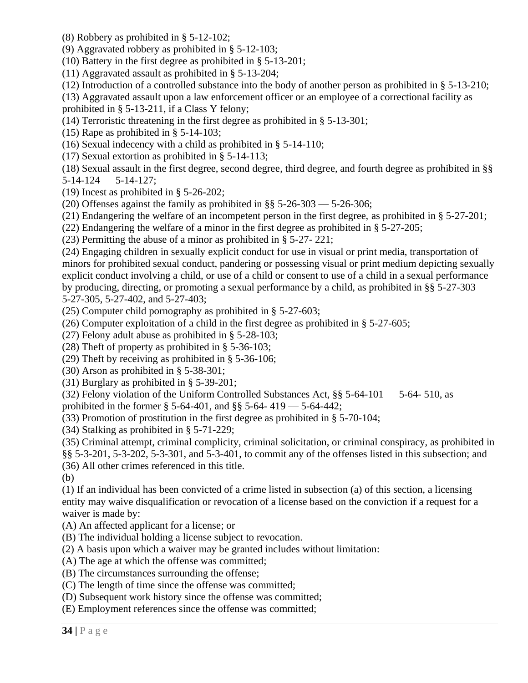(8) Robbery as prohibited in § 5-12-102;

(9) Aggravated robbery as prohibited in § 5-12-103;

(10) Battery in the first degree as prohibited in § 5-13-201;

(11) Aggravated assault as prohibited in § 5-13-204;

(12) Introduction of a controlled substance into the body of another person as prohibited in § 5-13-210;

(13) Aggravated assault upon a law enforcement officer or an employee of a correctional facility as prohibited in § 5-13-211, if a Class Y felony;

(14) Terroristic threatening in the first degree as prohibited in § 5-13-301;

(15) Rape as prohibited in § 5-14-103;

(16) Sexual indecency with a child as prohibited in § 5-14-110;

(17) Sexual extortion as prohibited in § 5-14-113;

(18) Sexual assault in the first degree, second degree, third degree, and fourth degree as prohibited in §§

 $5-14-124 - 5-14-127$ ;

(19) Incest as prohibited in § 5-26-202;

(20) Offenses against the family as prohibited in  $\S$ § 5-26-303 — 5-26-306;

(21) Endangering the welfare of an incompetent person in the first degree, as prohibited in § 5-27-201;

(22) Endangering the welfare of a minor in the first degree as prohibited in § 5-27-205;

(23) Permitting the abuse of a minor as prohibited in § 5-27- 221;

(24) Engaging children in sexually explicit conduct for use in visual or print media, transportation of minors for prohibited sexual conduct, pandering or possessing visual or print medium depicting sexually explicit conduct involving a child, or use of a child or consent to use of a child in a sexual performance by producing, directing, or promoting a sexual performance by a child, as prohibited in §§ 5-27-303 — 5-27-305, 5-27-402, and 5-27-403;

(25) Computer child pornography as prohibited in § 5-27-603;

(26) Computer exploitation of a child in the first degree as prohibited in § 5-27-605;

(27) Felony adult abuse as prohibited in § 5-28-103;

(28) Theft of property as prohibited in § 5-36-103;

(29) Theft by receiving as prohibited in § 5-36-106;

(30) Arson as prohibited in § 5-38-301;

(31) Burglary as prohibited in § 5-39-201;

(32) Felony violation of the Uniform Controlled Substances Act, §§ 5-64-101 — 5-64- 510, as

prohibited in the former § 5-64-401, and §§ 5-64- 419 — 5-64-442;

(33) Promotion of prostitution in the first degree as prohibited in § 5-70-104;

(34) Stalking as prohibited in § 5-71-229;

(35) Criminal attempt, criminal complicity, criminal solicitation, or criminal conspiracy, as prohibited in

§§ 5-3-201, 5-3-202, 5-3-301, and 5-3-401, to commit any of the offenses listed in this subsection; and

(36) All other crimes referenced in this title.

(b)

(1) If an individual has been convicted of a crime listed in subsection (a) of this section, a licensing entity may waive disqualification or revocation of a license based on the conviction if a request for a waiver is made by:

(A) An affected applicant for a license; or

(B) The individual holding a license subject to revocation.

(2) A basis upon which a waiver may be granted includes without limitation:

(A) The age at which the offense was committed;

(B) The circumstances surrounding the offense;

(C) The length of time since the offense was committed;

(D) Subsequent work history since the offense was committed;

(E) Employment references since the offense was committed;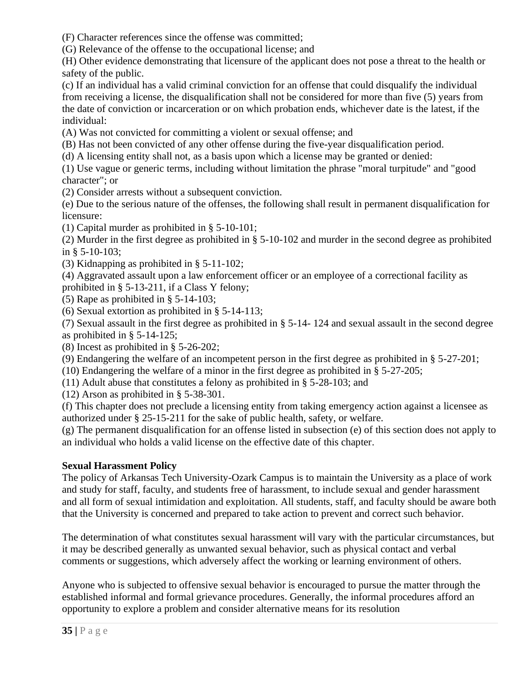(F) Character references since the offense was committed;

(G) Relevance of the offense to the occupational license; and

(H) Other evidence demonstrating that licensure of the applicant does not pose a threat to the health or safety of the public.

(c) If an individual has a valid criminal conviction for an offense that could disqualify the individual from receiving a license, the disqualification shall not be considered for more than five (5) years from the date of conviction or incarceration or on which probation ends, whichever date is the latest, if the individual:

(A) Was not convicted for committing a violent or sexual offense; and

(B) Has not been convicted of any other offense during the five-year disqualification period.

(d) A licensing entity shall not, as a basis upon which a license may be granted or denied:

(1) Use vague or generic terms, including without limitation the phrase "moral turpitude" and "good character"; or

(2) Consider arrests without a subsequent conviction.

(e) Due to the serious nature of the offenses, the following shall result in permanent disqualification for licensure:

(1) Capital murder as prohibited in § 5-10-101;

(2) Murder in the first degree as prohibited in § 5-10-102 and murder in the second degree as prohibited in § 5-10-103;

(3) Kidnapping as prohibited in § 5-11-102;

(4) Aggravated assault upon a law enforcement officer or an employee of a correctional facility as prohibited in § 5-13-211, if a Class Y felony;

- (5) Rape as prohibited in § 5-14-103;
- (6) Sexual extortion as prohibited in § 5-14-113;

(7) Sexual assault in the first degree as prohibited in § 5-14- 124 and sexual assault in the second degree as prohibited in § 5-14-125;

(8) Incest as prohibited in § 5-26-202;

(9) Endangering the welfare of an incompetent person in the first degree as prohibited in § 5-27-201;

(10) Endangering the welfare of a minor in the first degree as prohibited in § 5-27-205;

(11) Adult abuse that constitutes a felony as prohibited in § 5-28-103; and

(12) Arson as prohibited in § 5-38-301.

(f) This chapter does not preclude a licensing entity from taking emergency action against a licensee as authorized under § 25-15-211 for the sake of public health, safety, or welfare.

 (g) The permanent disqualification for an offense listed in subsection (e) of this section does not apply to an individual who holds a valid license on the effective date of this chapter.

# **Sexual Harassment Policy**

The policy of Arkansas Tech University-Ozark Campus is to maintain the University as a place of work and study for staff, faculty, and students free of harassment, to include sexual and gender harassment and all form of sexual intimidation and exploitation. All students, staff, and faculty should be aware both that the University is concerned and prepared to take action to prevent and correct such behavior.

The determination of what constitutes sexual harassment will vary with the particular circumstances, but it may be described generally as unwanted sexual behavior, such as physical contact and verbal comments or suggestions, which adversely affect the working or learning environment of others.

Anyone who is subjected to offensive sexual behavior is encouraged to pursue the matter through the established informal and formal grievance procedures. Generally, the informal procedures afford an opportunity to explore a problem and consider alternative means for its resolution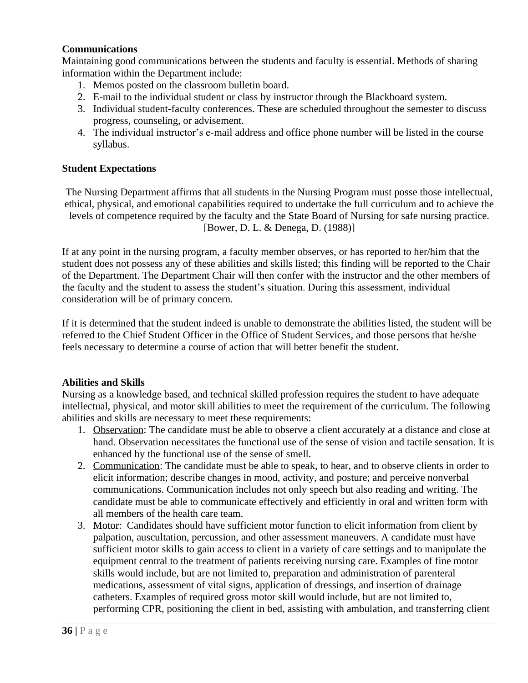## **Communications**

Maintaining good communications between the students and faculty is essential. Methods of sharing information within the Department include:

- 1. Memos posted on the classroom bulletin board.
- 2. E-mail to the individual student or class by instructor through the Blackboard system.
- 3. Individual student-faculty conferences. These are scheduled throughout the semester to discuss progress, counseling, or advisement.
- 4. The individual instructor's e-mail address and office phone number will be listed in the course syllabus.

# **Student Expectations**

The Nursing Department affirms that all students in the Nursing Program must posse those intellectual, ethical, physical, and emotional capabilities required to undertake the full curriculum and to achieve the levels of competence required by the faculty and the State Board of Nursing for safe nursing practice. [Bower, D. L. & Denega, D. (1988)]

If at any point in the nursing program, a faculty member observes, or has reported to her/him that the student does not possess any of these abilities and skills listed; this finding will be reported to the Chair of the Department. The Department Chair will then confer with the instructor and the other members of the faculty and the student to assess the student's situation. During this assessment, individual consideration will be of primary concern.

If it is determined that the student indeed is unable to demonstrate the abilities listed, the student will be referred to the Chief Student Officer in the Office of Student Services, and those persons that he/she feels necessary to determine a course of action that will better benefit the student.

# **Abilities and Skills**

Nursing as a knowledge based, and technical skilled profession requires the student to have adequate intellectual, physical, and motor skill abilities to meet the requirement of the curriculum. The following abilities and skills are necessary to meet these requirements:

- 1. Observation: The candidate must be able to observe a client accurately at a distance and close at hand. Observation necessitates the functional use of the sense of vision and tactile sensation. It is enhanced by the functional use of the sense of smell.
- 2. Communication: The candidate must be able to speak, to hear, and to observe clients in order to elicit information; describe changes in mood, activity, and posture; and perceive nonverbal communications. Communication includes not only speech but also reading and writing. The candidate must be able to communicate effectively and efficiently in oral and written form with all members of the health care team.
- 3. Motor: Candidates should have sufficient motor function to elicit information from client by palpation, auscultation, percussion, and other assessment maneuvers. A candidate must have sufficient motor skills to gain access to client in a variety of care settings and to manipulate the equipment central to the treatment of patients receiving nursing care. Examples of fine motor skills would include, but are not limited to, preparation and administration of parenteral medications, assessment of vital signs, application of dressings, and insertion of drainage catheters. Examples of required gross motor skill would include, but are not limited to, performing CPR, positioning the client in bed, assisting with ambulation, and transferring client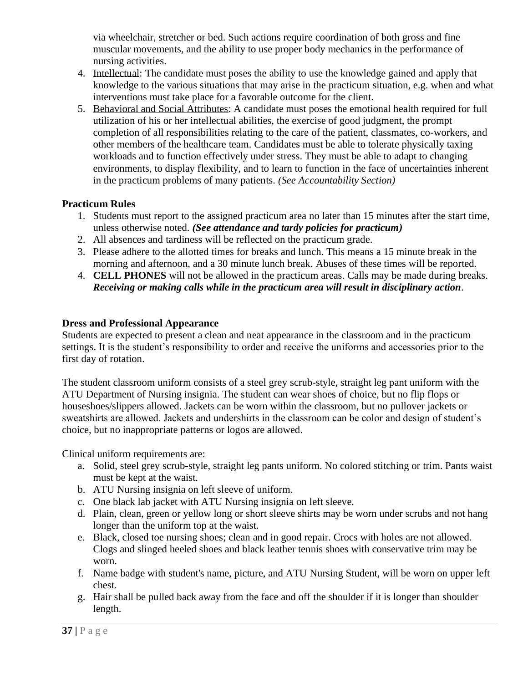via wheelchair, stretcher or bed. Such actions require coordination of both gross and fine muscular movements, and the ability to use proper body mechanics in the performance of nursing activities.

- 4. Intellectual: The candidate must poses the ability to use the knowledge gained and apply that knowledge to the various situations that may arise in the practicum situation, e.g. when and what interventions must take place for a favorable outcome for the client.
- 5. Behavioral and Social Attributes: A candidate must poses the emotional health required for full utilization of his or her intellectual abilities, the exercise of good judgment, the prompt completion of all responsibilities relating to the care of the patient, classmates, co-workers, and other members of the healthcare team. Candidates must be able to tolerate physically taxing workloads and to function effectively under stress. They must be able to adapt to changing environments, to display flexibility, and to learn to function in the face of uncertainties inherent in the practicum problems of many patients. *(See Accountability Section)*

# **Practicum Rules**

- 1. Students must report to the assigned practicum area no later than 15 minutes after the start time, unless otherwise noted. *(See attendance and tardy policies for practicum)*
- 2. All absences and tardiness will be reflected on the practicum grade.
- 3. Please adhere to the allotted times for breaks and lunch. This means a 15 minute break in the morning and afternoon, and a 30 minute lunch break. Abuses of these times will be reported.
- 4. **CELL PHONES** will not be allowed in the practicum areas. Calls may be made during breaks. *Receiving or making calls while in the practicum area will result in disciplinary action*.

## **Dress and Professional Appearance**

Students are expected to present a clean and neat appearance in the classroom and in the practicum settings. It is the student's responsibility to order and receive the uniforms and accessories prior to the first day of rotation.

The student classroom uniform consists of a steel grey scrub-style, straight leg pant uniform with the ATU Department of Nursing insignia. The student can wear shoes of choice, but no flip flops or houseshoes/slippers allowed. Jackets can be worn within the classroom, but no pullover jackets or sweatshirts are allowed. Jackets and undershirts in the classroom can be color and design of student's choice, but no inappropriate patterns or logos are allowed.

Clinical uniform requirements are:

- a. Solid, steel grey scrub-style, straight leg pants uniform. No colored stitching or trim. Pants waist must be kept at the waist.
- b. ATU Nursing insignia on left sleeve of uniform.
- c. One black lab jacket with ATU Nursing insignia on left sleeve.
- d. Plain, clean, green or yellow long or short sleeve shirts may be worn under scrubs and not hang longer than the uniform top at the waist.
- e. Black, closed toe nursing shoes; clean and in good repair. Crocs with holes are not allowed. Clogs and slinged heeled shoes and black leather tennis shoes with conservative trim may be worn.
- f. Name badge with student's name, picture, and ATU Nursing Student, will be worn on upper left chest.
- g. Hair shall be pulled back away from the face and off the shoulder if it is longer than shoulder length.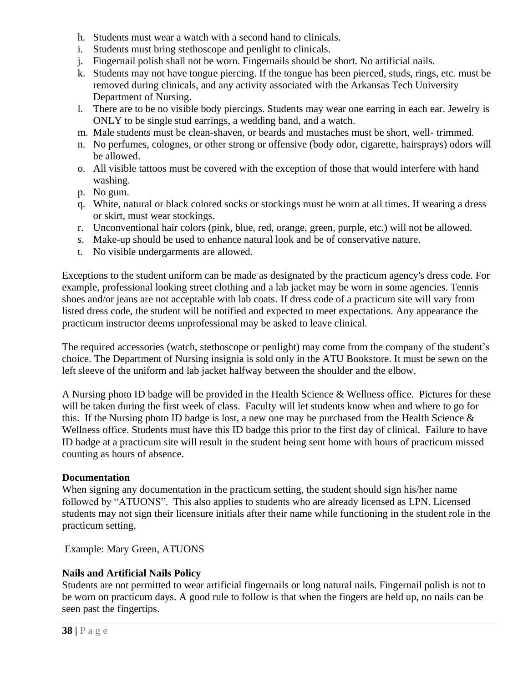- h. Students must wear a watch with a second hand to clinicals.
- i. Students must bring stethoscope and penlight to clinicals.
- j. Fingernail polish shall not be worn. Fingernails should be short. No artificial nails.
- k. Students may not have tongue piercing. If the tongue has been pierced, studs, rings, etc. must be removed during clinicals, and any activity associated with the Arkansas Tech University Department of Nursing.
- l. There are to be no visible body piercings. Students may wear one earring in each ear. Jewelry is ONLY to be single stud earrings, a wedding band, and a watch.
- m. Male students must be clean-shaven, or beards and mustaches must be short, well- trimmed.
- n. No perfumes, colognes, or other strong or offensive (body odor, cigarette, hairsprays) odors will be allowed.
- o. All visible tattoos must be covered with the exception of those that would interfere with hand washing.
- p. No gum.
- q. White, natural or black colored socks or stockings must be worn at all times. If wearing a dress or skirt, must wear stockings.
- r. Unconventional hair colors (pink, blue, red, orange, green, purple, etc.) will not be allowed.
- s. Make-up should be used to enhance natural look and be of conservative nature.
- t. No visible undergarments are allowed.

Exceptions to the student uniform can be made as designated by the practicum agency's dress code. For example, professional looking street clothing and a lab jacket may be worn in some agencies. Tennis shoes and/or jeans are not acceptable with lab coats. If dress code of a practicum site will vary from listed dress code, the student will be notified and expected to meet expectations. Any appearance the practicum instructor deems unprofessional may be asked to leave clinical.

The required accessories (watch, stethoscope or penlight) may come from the company of the student's choice. The Department of Nursing insignia is sold only in the ATU Bookstore. It must be sewn on the left sleeve of the uniform and lab jacket halfway between the shoulder and the elbow.

A Nursing photo ID badge will be provided in the Health Science & Wellness office. Pictures for these will be taken during the first week of class. Faculty will let students know when and where to go for this. If the Nursing photo ID badge is lost, a new one may be purchased from the Health Science  $\&$ Wellness office. Students must have this ID badge this prior to the first day of clinical. Failure to have ID badge at a practicum site will result in the student being sent home with hours of practicum missed counting as hours of absence.

#### **Documentation**

When signing any documentation in the practicum setting, the student should sign his/her name followed by "ATUONS". This also applies to students who are already licensed as LPN. Licensed students may not sign their licensure initials after their name while functioning in the student role in the practicum setting.

Example: Mary Green, ATUONS

# **Nails and Artificial Nails Policy**

Students are not permitted to wear artificial fingernails or long natural nails. Fingernail polish is not to be worn on practicum days. A good rule to follow is that when the fingers are held up, no nails can be seen past the fingertips.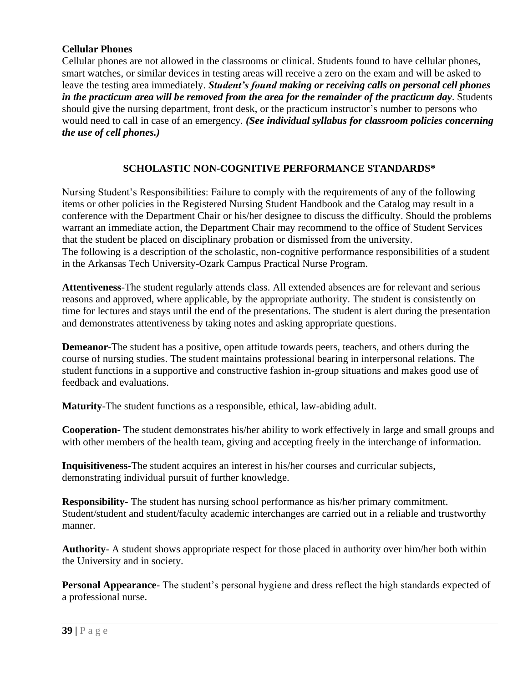# **Cellular Phones**

Cellular phones are not allowed in the classrooms or clinical. Students found to have cellular phones, smart watches, or similar devices in testing areas will receive a zero on the exam and will be asked to leave the testing area immediately. *Student's found making or receiving calls on personal cell phones in the practicum area will be removed from the area for the remainder of the practicum day*. Students should give the nursing department, front desk, or the practicum instructor's number to persons who would need to call in case of an emergency. *(See individual syllabus for classroom policies concerning the use of cell phones.)*

# **SCHOLASTIC NON-COGNITIVE PERFORMANCE STANDARDS\***

Nursing Student's Responsibilities: Failure to comply with the requirements of any of the following items or other policies in the Registered Nursing Student Handbook and the Catalog may result in a conference with the Department Chair or his/her designee to discuss the difficulty. Should the problems warrant an immediate action, the Department Chair may recommend to the office of Student Services that the student be placed on disciplinary probation or dismissed from the university. The following is a description of the scholastic, non-cognitive performance responsibilities of a student in the Arkansas Tech University-Ozark Campus Practical Nurse Program.

**Attentiveness**-The student regularly attends class. All extended absences are for relevant and serious reasons and approved, where applicable, by the appropriate authority. The student is consistently on time for lectures and stays until the end of the presentations. The student is alert during the presentation and demonstrates attentiveness by taking notes and asking appropriate questions.

**Demeanor**-The student has a positive, open attitude towards peers, teachers, and others during the course of nursing studies. The student maintains professional bearing in interpersonal relations. The student functions in a supportive and constructive fashion in-group situations and makes good use of feedback and evaluations.

**Maturity**-The student functions as a responsible, ethical, law-abiding adult.

**Cooperation-** The student demonstrates his/her ability to work effectively in large and small groups and with other members of the health team, giving and accepting freely in the interchange of information.

**Inquisitiveness**-The student acquires an interest in his/her courses and curricular subjects, demonstrating individual pursuit of further knowledge.

**Responsibility-** The student has nursing school performance as his/her primary commitment. Student/student and student/faculty academic interchanges are carried out in a reliable and trustworthy manner.

**Authority**- A student shows appropriate respect for those placed in authority over him/her both within the University and in society.

**Personal Appearance**- The student's personal hygiene and dress reflect the high standards expected of a professional nurse.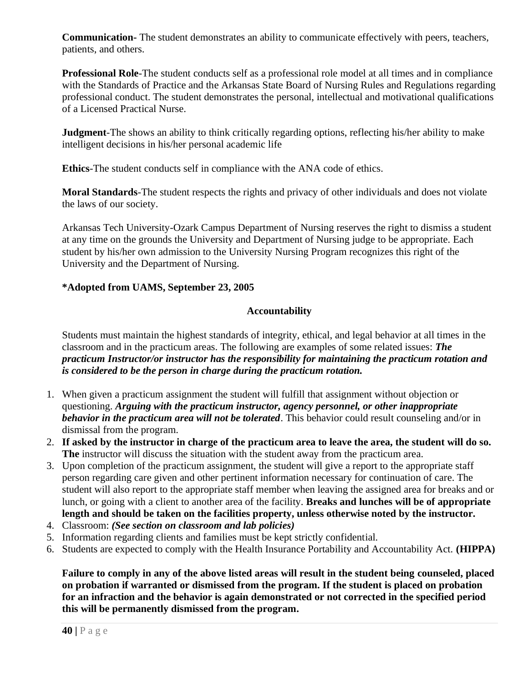**Communication-** The student demonstrates an ability to communicate effectively with peers, teachers, patients, and others.

**Professional Role**-The student conducts self as a professional role model at all times and in compliance with the Standards of Practice and the Arkansas State Board of Nursing Rules and Regulations regarding professional conduct. The student demonstrates the personal, intellectual and motivational qualifications of a Licensed Practical Nurse.

**Judgment**-The shows an ability to think critically regarding options, reflecting his/her ability to make intelligent decisions in his/her personal academic life

**Ethics**-The student conducts self in compliance with the ANA code of ethics.

**Moral Standards**-The student respects the rights and privacy of other individuals and does not violate the laws of our society.

Arkansas Tech University-Ozark Campus Department of Nursing reserves the right to dismiss a student at any time on the grounds the University and Department of Nursing judge to be appropriate. Each student by his/her own admission to the University Nursing Program recognizes this right of the University and the Department of Nursing.

# **\*Adopted from UAMS, September 23, 2005**

# **Accountability**

Students must maintain the highest standards of integrity, ethical, and legal behavior at all times in the classroom and in the practicum areas. The following are examples of some related issues: *The practicum Instructor/or instructor has the responsibility for maintaining the practicum rotation and is considered to be the person in charge during the practicum rotation.*

- 1. When given a practicum assignment the student will fulfill that assignment without objection or questioning. *Arguing with the practicum instructor, agency personnel, or other inappropriate behavior in the practicum area will not be tolerated*. This behavior could result counseling and/or in dismissal from the program.
- 2. **If asked by the instructor in charge of the practicum area to leave the area, the student will do so. The** instructor will discuss the situation with the student away from the practicum area.
- 3. Upon completion of the practicum assignment, the student will give a report to the appropriate staff person regarding care given and other pertinent information necessary for continuation of care. The student will also report to the appropriate staff member when leaving the assigned area for breaks and or lunch, or going with a client to another area of the facility. **Breaks and lunches will be of appropriate length and should be taken on the facilities property, unless otherwise noted by the instructor.**
- 4. Classroom: *(See section on classroom and lab policies)*
- 5. Information regarding clients and families must be kept strictly confidential.
- 6. Students are expected to comply with the Health Insurance Portability and Accountability Act. **(HIPPA)**

**Failure to comply in any of the above listed areas will result in the student being counseled, placed on probation if warranted or dismissed from the program. If the student is placed on probation for an infraction and the behavior is again demonstrated or not corrected in the specified period this will be permanently dismissed from the program.**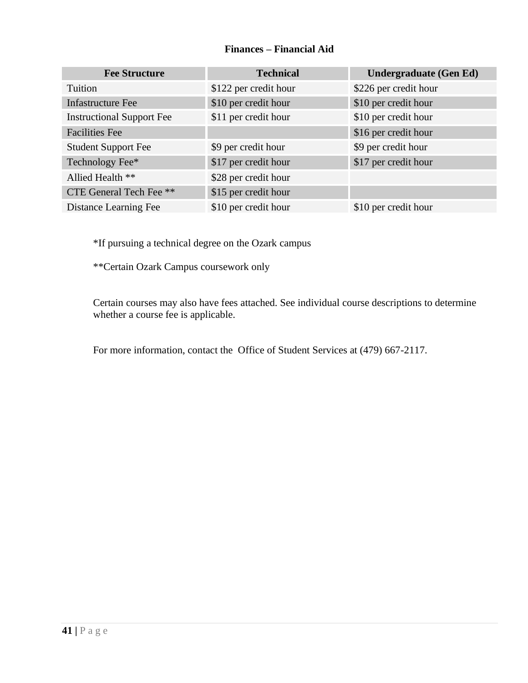# **Finances – Financial Aid**

| <b>Fee Structure</b>             | <b>Technical</b>      | <b>Undergraduate (Gen Ed)</b> |
|----------------------------------|-----------------------|-------------------------------|
| Tuition                          | \$122 per credit hour | \$226 per credit hour         |
| <b>Infastructure Fee</b>         | \$10 per credit hour  | \$10 per credit hour          |
| <b>Instructional Support Fee</b> | \$11 per credit hour  | \$10 per credit hour          |
| <b>Facilities Fee</b>            |                       | \$16 per credit hour          |
| <b>Student Support Fee</b>       | \$9 per credit hour   | \$9 per credit hour           |
| Technology Fee*                  | \$17 per credit hour  | \$17 per credit hour          |
| Allied Health **                 | \$28 per credit hour  |                               |
| CTE General Tech Fee **          | \$15 per credit hour  |                               |
| Distance Learning Fee            | \$10 per credit hour  | \$10 per credit hour          |

\*If pursuing a technical degree on the Ozark campus

\*\*Certain Ozark Campus coursework only

Certain courses may also have fees attached. See individual course descriptions to determine whether a course fee is applicable.

For more information, contact the Office of Student Services at (479) 667-2117.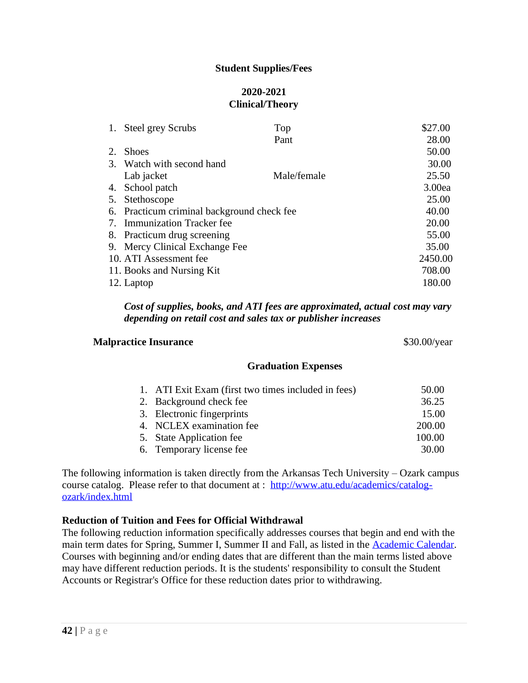## **Student Supplies/Fees**

## **2020-2021 Clinical/Theory**

| 1. | <b>Steel grey Scrubs</b>                    | Top         | \$27.00 |
|----|---------------------------------------------|-------------|---------|
|    |                                             | Pant        | 28.00   |
|    | <b>Shoes</b>                                |             | 50.00   |
|    | 3. Watch with second hand                   |             | 30.00   |
|    | Lab jacket                                  | Male/female | 25.50   |
| 4. | School patch                                |             | 3.00ea  |
| 5. | Stethoscope                                 |             | 25.00   |
|    | 6. Practicum criminal background check fee. |             | 40.00   |
| 7. | <b>Immunization Tracker fee</b>             |             | 20.00   |
|    | 8. Practicum drug screening                 |             | 55.00   |
| 9. | Mercy Clinical Exchange Fee                 |             | 35.00   |
|    | 10. ATI Assessment fee                      |             | 2450.00 |
|    | 11. Books and Nursing Kit                   |             | 708.00  |
|    | 12. Laptop                                  |             | 180.00  |

#### *Cost of supplies, books, and ATI fees are approximated, actual cost may vary depending on retail cost and sales tax or publisher increases*

#### **Malpractice Insurance** \$30.00/year

#### **Graduation Expenses**

| 1. ATI Exit Exam (first two times included in fees) | 50.00  |
|-----------------------------------------------------|--------|
| 2. Background check fee                             | 36.25  |
| 3. Electronic fingerprints                          | 15.00  |
| 4. NCLEX examination fee                            | 200.00 |
| 5. State Application fee                            | 100.00 |
| 6. Temporary license fee                            | 30.00  |

The following information is taken directly from the Arkansas Tech University – Ozark campus course catalog. Please refer to that document at : [http://www.atu.edu/academics/catalog](http://www.atu.edu/academics/catalog-ozark/index.html)[ozark/index.html](http://www.atu.edu/academics/catalog-ozark/index.html)

#### **Reduction of Tuition and Fees for Official Withdrawal**

The following reduction information specifically addresses courses that begin and end with the main term dates for Spring, Summer I, Summer II and Fall, as listed in the [Academic Calendar.](http://www.atu.edu/academics/dev/catalog/calendar.html#AcademicCalendar) Courses with beginning and/or ending dates that are different than the main terms listed above may have different reduction periods. It is the students' responsibility to consult the Student Accounts or Registrar's Office for these reduction dates prior to withdrawing.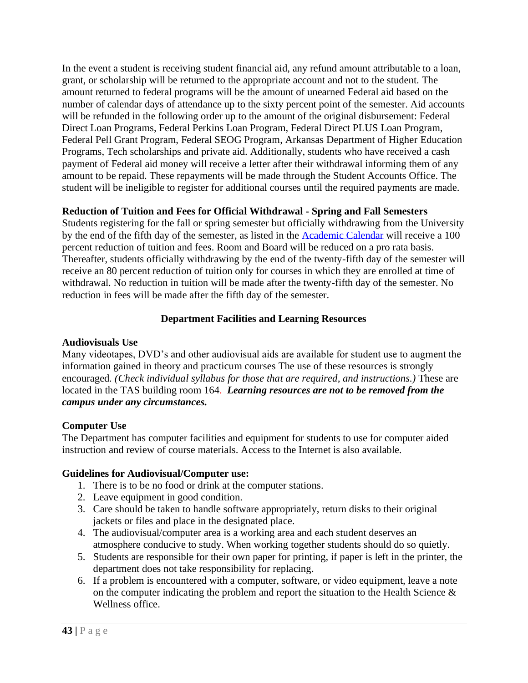In the event a student is receiving student financial aid, any refund amount attributable to a loan, grant, or scholarship will be returned to the appropriate account and not to the student. The amount returned to federal programs will be the amount of unearned Federal aid based on the number of calendar days of attendance up to the sixty percent point of the semester. Aid accounts will be refunded in the following order up to the amount of the original disbursement: Federal Direct Loan Programs, Federal Perkins Loan Program, Federal Direct PLUS Loan Program, Federal Pell Grant Program, Federal SEOG Program, Arkansas Department of Higher Education Programs, Tech scholarships and private aid. Additionally, students who have received a cash payment of Federal aid money will receive a letter after their withdrawal informing them of any amount to be repaid. These repayments will be made through the Student Accounts Office. The student will be ineligible to register for additional courses until the required payments are made.

# **Reduction of Tuition and Fees for Official Withdrawal - Spring and Fall Semesters**

Students registering for the fall or spring semester but officially withdrawing from the University by the end of the fifth day of the semester, as listed in the [Academic Calendar](http://www.atu.edu/academics/dev/catalog/calendar.html#AcademicCalendar) will receive a 100 percent reduction of tuition and fees. Room and Board will be reduced on a pro rata basis. Thereafter, students officially withdrawing by the end of the twenty-fifth day of the semester will receive an 80 percent reduction of tuition only for courses in which they are enrolled at time of withdrawal. No reduction in tuition will be made after the twenty-fifth day of the semester. No reduction in fees will be made after the fifth day of the semester.

# **Department Facilities and Learning Resources**

#### **Audiovisuals Use**

Many videotapes, DVD's and other audiovisual aids are available for student use to augment the information gained in theory and practicum courses The use of these resources is strongly encouraged*. (Check individual syllabus for those that are required, and instructions.)* These are located in the TAS building room 164. *Learning resources are not to be removed from the campus under any circumstances.*

# **Computer Use**

The Department has computer facilities and equipment for students to use for computer aided instruction and review of course materials. Access to the Internet is also available.

#### **Guidelines for Audiovisual/Computer use:**

- 1. There is to be no food or drink at the computer stations.
- 2. Leave equipment in good condition.
- 3. Care should be taken to handle software appropriately, return disks to their original jackets or files and place in the designated place.
- 4. The audiovisual/computer area is a working area and each student deserves an atmosphere conducive to study. When working together students should do so quietly.
- 5. Students are responsible for their own paper for printing, if paper is left in the printer, the department does not take responsibility for replacing.
- 6. If a problem is encountered with a computer, software, or video equipment, leave a note on the computer indicating the problem and report the situation to the Health Science  $\&$ Wellness office.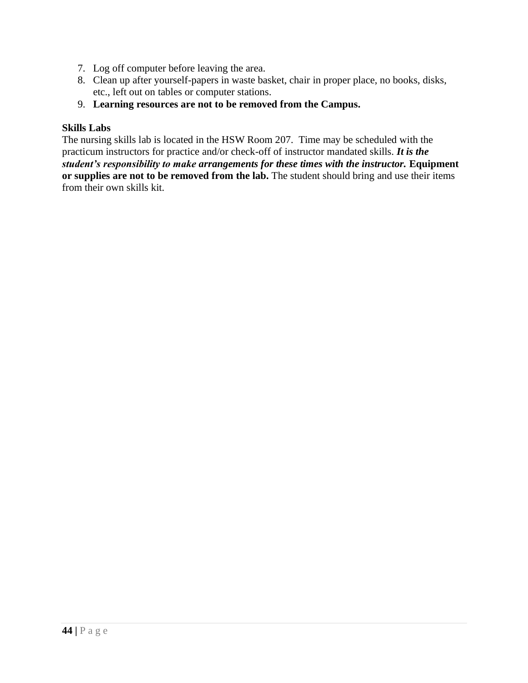- 7. Log off computer before leaving the area.
- 8. Clean up after yourself-papers in waste basket, chair in proper place, no books, disks, etc., left out on tables or computer stations.
- 9. **Learning resources are not to be removed from the Campus.**

# **Skills Labs**

The nursing skills lab is located in the HSW Room 207. Time may be scheduled with the practicum instructors for practice and/or check-off of instructor mandated skills. *It is the student's responsibility to make arrangements for these times with the instructor.* **Equipment or supplies are not to be removed from the lab.** The student should bring and use their items from their own skills kit.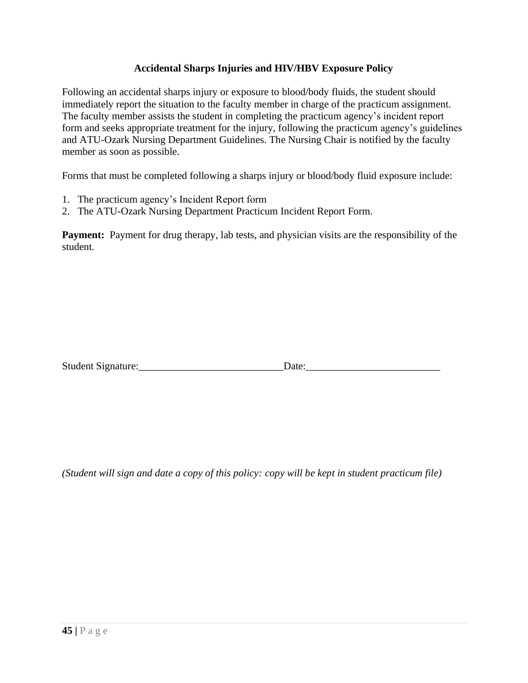# **Accidental Sharps Injuries and HIV/HBV Exposure Policy**

Following an accidental sharps injury or exposure to blood/body fluids, the student should immediately report the situation to the faculty member in charge of the practicum assignment. The faculty member assists the student in completing the practicum agency's incident report form and seeks appropriate treatment for the injury, following the practicum agency's guidelines and ATU-Ozark Nursing Department Guidelines. The Nursing Chair is notified by the faculty member as soon as possible.

Forms that must be completed following a sharps injury or blood/body fluid exposure include:

- 1. The practicum agency's Incident Report form
- 2. The ATU-Ozark Nursing Department Practicum Incident Report Form.

**Payment:** Payment for drug therapy, lab tests, and physician visits are the responsibility of the student.

| Student Signature: |  |
|--------------------|--|
|                    |  |

*(Student will sign and date a copy of this policy: copy will be kept in student practicum file)*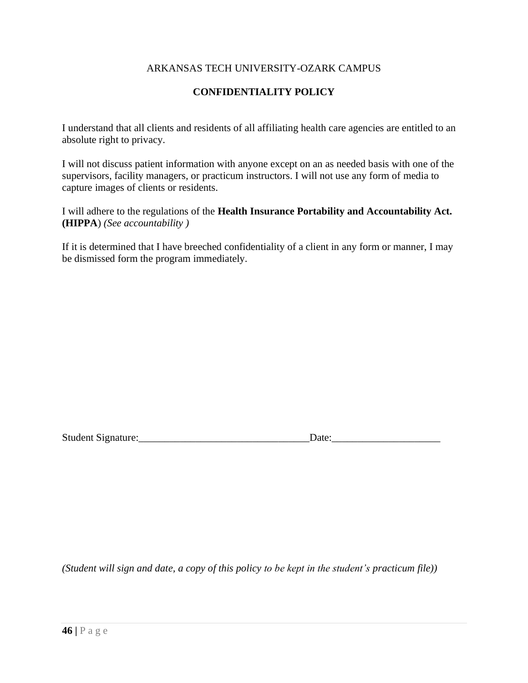# ARKANSAS TECH UNIVERSITY-OZARK CAMPUS

# **CONFIDENTIALITY POLICY**

I understand that all clients and residents of all affiliating health care agencies are entitled to an absolute right to privacy.

I will not discuss patient information with anyone except on an as needed basis with one of the supervisors, facility managers, or practicum instructors. I will not use any form of media to capture images of clients or residents.

I will adhere to the regulations of the **Health Insurance Portability and Accountability Act. (HIPPA**) *(See accountability )*

If it is determined that I have breeched confidentiality of a client in any form or manner, I may be dismissed form the program immediately.

| Student Signature: | )ate: |
|--------------------|-------|
|                    |       |

*(Student will sign and date, a copy of this policy to be kept in the student's practicum file))*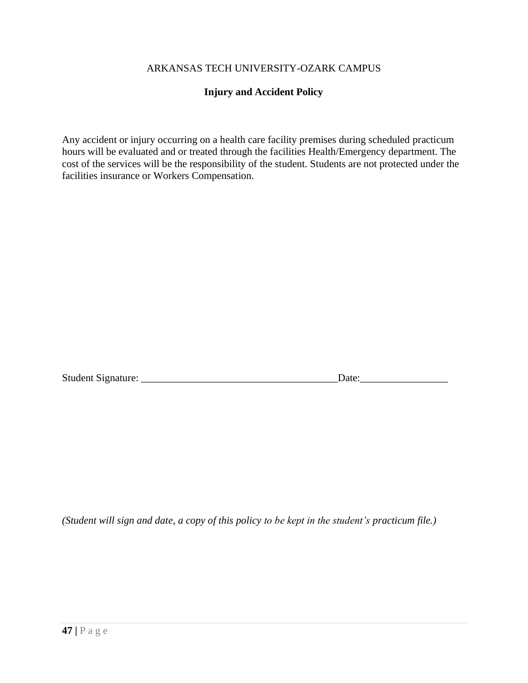# ARKANSAS TECH UNIVERSITY-OZARK CAMPUS

# **Injury and Accident Policy**

Any accident or injury occurring on a health care facility premises during scheduled practicum hours will be evaluated and or treated through the facilities Health/Emergency department. The cost of the services will be the responsibility of the student. Students are not protected under the facilities insurance or Workers Compensation.

Student Signature: \_\_\_\_\_\_\_\_\_\_\_\_\_\_\_\_\_\_\_\_\_\_\_\_\_\_\_\_\_\_\_\_\_\_\_\_\_\_Date:\_\_\_\_\_\_\_\_\_\_\_\_\_\_\_\_\_

*(Student will sign and date, a copy of this policy to be kept in the student's practicum file.)*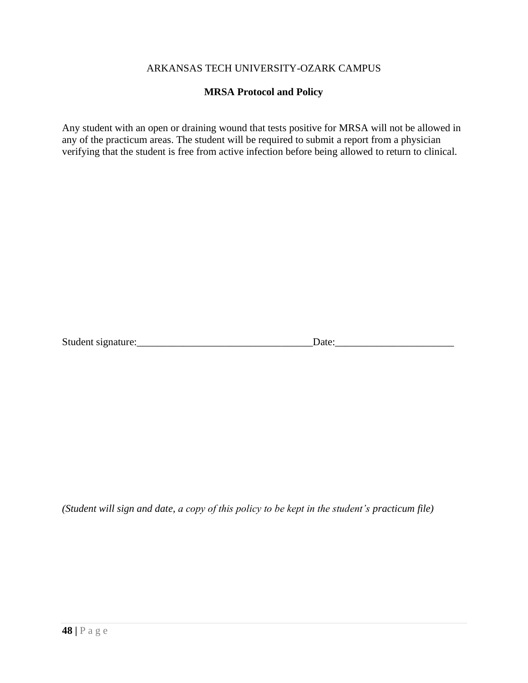# ARKANSAS TECH UNIVERSITY-OZARK CAMPUS

## **MRSA Protocol and Policy**

Any student with an open or draining wound that tests positive for MRSA will not be allowed in any of the practicum areas. The student will be required to submit a report from a physician verifying that the student is free from active infection before being allowed to return to clinical.

Student signature:\_\_\_\_\_\_\_\_\_\_\_\_\_\_\_\_\_\_\_\_\_\_\_\_\_\_\_\_\_\_\_\_\_\_Date:\_\_\_\_\_\_\_\_\_\_\_\_\_\_\_\_\_\_\_\_\_\_\_

*(Student will sign and date, a copy of this policy to be kept in the student's practicum file)*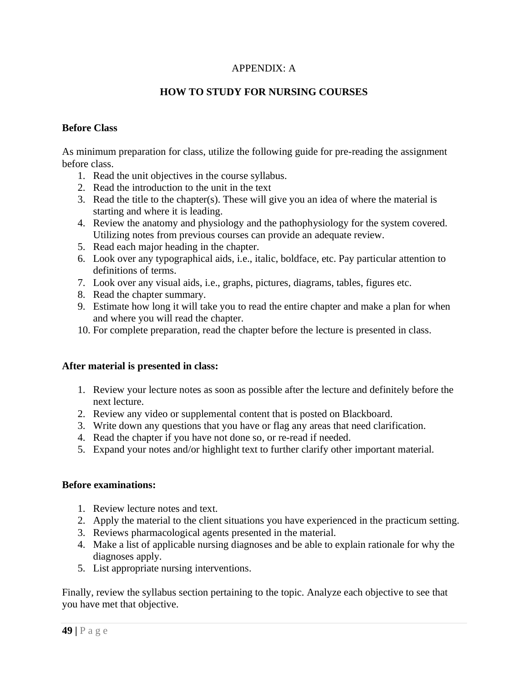# APPENDIX: A

# **HOW TO STUDY FOR NURSING COURSES**

## **Before Class**

As minimum preparation for class, utilize the following guide for pre-reading the assignment before class.

- 1. Read the unit objectives in the course syllabus.
- 2. Read the introduction to the unit in the text
- 3. Read the title to the chapter(s). These will give you an idea of where the material is starting and where it is leading.
- 4. Review the anatomy and physiology and the pathophysiology for the system covered. Utilizing notes from previous courses can provide an adequate review.
- 5. Read each major heading in the chapter.
- 6. Look over any typographical aids, i.e., italic, boldface, etc. Pay particular attention to definitions of terms.
- 7. Look over any visual aids, i.e., graphs, pictures, diagrams, tables, figures etc.
- 8. Read the chapter summary.
- 9. Estimate how long it will take you to read the entire chapter and make a plan for when and where you will read the chapter.
- 10. For complete preparation, read the chapter before the lecture is presented in class.

#### **After material is presented in class:**

- 1. Review your lecture notes as soon as possible after the lecture and definitely before the next lecture.
- 2. Review any video or supplemental content that is posted on Blackboard.
- 3. Write down any questions that you have or flag any areas that need clarification.
- 4. Read the chapter if you have not done so, or re-read if needed.
- 5. Expand your notes and/or highlight text to further clarify other important material.

#### **Before examinations:**

- 1. Review lecture notes and text.
- 2. Apply the material to the client situations you have experienced in the practicum setting.
- 3. Reviews pharmacological agents presented in the material.
- 4. Make a list of applicable nursing diagnoses and be able to explain rationale for why the diagnoses apply.
- 5. List appropriate nursing interventions.

Finally, review the syllabus section pertaining to the topic. Analyze each objective to see that you have met that objective.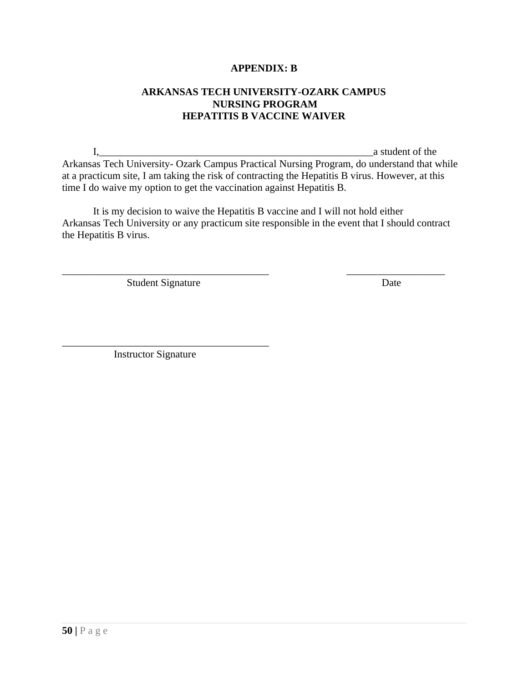#### **APPENDIX: B**

## **ARKANSAS TECH UNIVERSITY-OZARK CAMPUS NURSING PROGRAM HEPATITIS B VACCINE WAIVER**

I, a student of the Arkansas Tech University- Ozark Campus Practical Nursing Program, do understand that while at a practicum site, I am taking the risk of contracting the Hepatitis B virus. However, at this time I do waive my option to get the vaccination against Hepatitis B.

It is my decision to waive the Hepatitis B vaccine and I will not hold either Arkansas Tech University or any practicum site responsible in the event that I should contract the Hepatitis B virus.

\_\_\_\_\_\_\_\_\_\_\_\_\_\_\_\_\_\_\_\_\_\_\_\_\_\_\_\_\_\_\_\_\_\_\_\_\_\_\_\_ \_\_\_\_\_\_\_\_\_\_\_\_\_\_\_\_\_\_\_

Student Signature Date

Instructor Signature

\_\_\_\_\_\_\_\_\_\_\_\_\_\_\_\_\_\_\_\_\_\_\_\_\_\_\_\_\_\_\_\_\_\_\_\_\_\_\_\_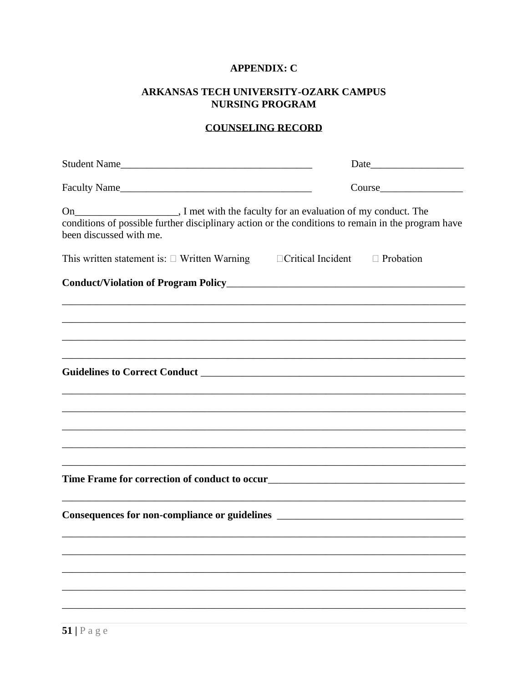# **APPENDIX: C**

## ARKANSAS TECH UNIVERSITY-OZARK CAMPUS **NURSING PROGRAM**

# **COUNSELING RECORD**

| Student Name                                                                                                                  |                  |
|-------------------------------------------------------------------------------------------------------------------------------|------------------|
|                                                                                                                               |                  |
| conditions of possible further disciplinary action or the conditions to remain in the program have<br>been discussed with me. |                  |
| This written statement is: $\square$ Written Warning $\square$ Critical Incident                                              | $\Box$ Probation |
|                                                                                                                               |                  |
|                                                                                                                               |                  |
|                                                                                                                               |                  |
|                                                                                                                               |                  |
|                                                                                                                               |                  |
|                                                                                                                               |                  |
|                                                                                                                               |                  |
|                                                                                                                               |                  |
|                                                                                                                               |                  |
| Time Frame for correction of conduct to occur<br><u>Letter and the conduction</u>                                             |                  |
| Consequences for non-compliance or guidelines                                                                                 |                  |
|                                                                                                                               |                  |
|                                                                                                                               |                  |
|                                                                                                                               |                  |
|                                                                                                                               |                  |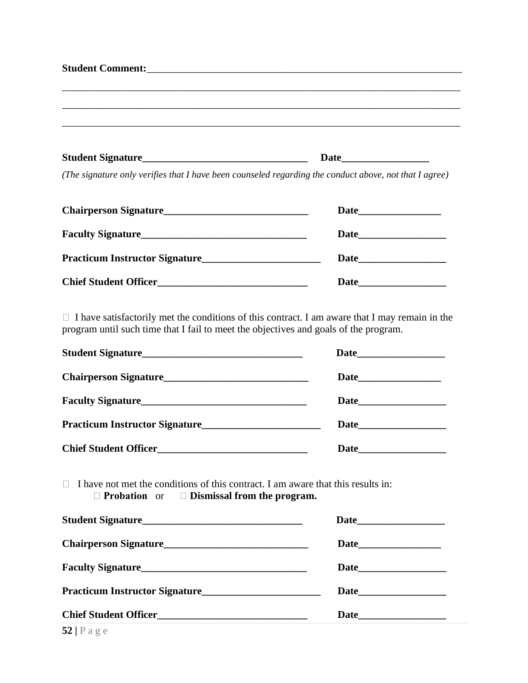| Student Comment: New York Comment: |  |  |
|------------------------------------|--|--|
|                                    |  |  |
|                                    |  |  |
|                                    |  |  |
|                                    |  |  |
|                                    |  |  |
|                                    |  |  |

| <b>Student Signature</b> | Date |
|--------------------------|------|
|                          |      |

*(The signature only verifies that I have been counseled regarding the conduct above, not that I agree)*

|                                                                                                                                                                                                                                     | Date                                                                                                                                                                                                                          |
|-------------------------------------------------------------------------------------------------------------------------------------------------------------------------------------------------------------------------------------|-------------------------------------------------------------------------------------------------------------------------------------------------------------------------------------------------------------------------------|
|                                                                                                                                                                                                                                     | Date                                                                                                                                                                                                                          |
| <b>Practicum Instructor Signature</b>                                                                                                                                                                                               | Date and the same state of the state of the state of the state of the state of the state of the state of the state of the state of the state of the state of the state of the state of the state of the state of the state of |
| <b>Chief Student Officer</b> and the state of the state of the state of the state of the state of the state of the state of the state of the state of the state of the state of the state of the state of the state of the state of | Date                                                                                                                                                                                                                          |

 $\Box$  I have satisfactorily met the conditions of this contract. I am aware that I may remain in the program until such time that I fail to meet the objectives and goals of the program.

| <b>Practicum Instructor Signature</b> |  |
|---------------------------------------|--|
|                                       |  |

 $\Box$  I have not met the conditions of this contract. I am aware that this results in:  **Probation** or **Dismissal from the program.**

| <b>Practicum Instructor Signature</b> |      |
|---------------------------------------|------|
|                                       | Date |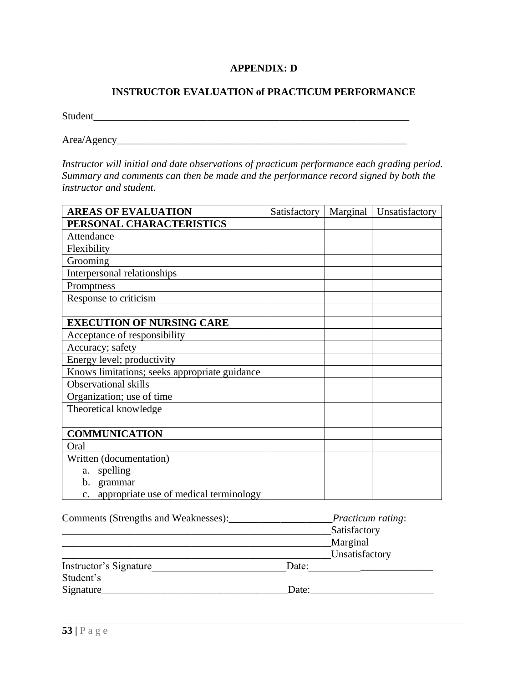# **APPENDIX: D**

# **INSTRUCTOR EVALUATION of PRACTICUM PERFORMANCE**

Student\_\_\_\_\_\_\_\_\_\_\_\_\_\_\_\_\_\_\_\_\_\_\_\_\_\_\_\_\_\_\_\_\_\_\_\_\_\_\_\_\_\_\_\_\_\_\_\_\_\_\_\_\_\_\_\_\_\_\_\_\_

Area/Agency\_\_\_\_\_\_\_\_\_\_\_\_\_\_\_\_\_\_\_\_\_\_\_\_\_\_\_\_\_\_\_\_\_\_\_\_\_\_\_\_\_\_\_\_\_\_\_\_\_\_\_\_\_\_\_\_

*Instructor will initial and date observations of practicum performance each grading period. Summary and comments can then be made and the performance record signed by both the instructor and student*.

| <b>AREAS OF EVALUATION</b>                    | Satisfactory | Marginal | Unsatisfactory |
|-----------------------------------------------|--------------|----------|----------------|
| PERSONAL CHARACTERISTICS                      |              |          |                |
| Attendance                                    |              |          |                |
| Flexibility                                   |              |          |                |
| Grooming                                      |              |          |                |
| Interpersonal relationships                   |              |          |                |
| Promptness                                    |              |          |                |
| Response to criticism                         |              |          |                |
|                                               |              |          |                |
| <b>EXECUTION OF NURSING CARE</b>              |              |          |                |
| Acceptance of responsibility                  |              |          |                |
| Accuracy; safety                              |              |          |                |
| Energy level; productivity                    |              |          |                |
| Knows limitations; seeks appropriate guidance |              |          |                |
| <b>Observational skills</b>                   |              |          |                |
| Organization; use of time                     |              |          |                |
| Theoretical knowledge                         |              |          |                |
|                                               |              |          |                |
| <b>COMMUNICATION</b>                          |              |          |                |
| Oral                                          |              |          |                |
| Written (documentation)                       |              |          |                |
| a. spelling                                   |              |          |                |
| b. grammar                                    |              |          |                |
| c. appropriate use of medical terminology     |              |          |                |

| Comments (Strengths and Weaknesses): | Practicum rating:     |  |
|--------------------------------------|-----------------------|--|
|                                      | Satisfactory          |  |
|                                      | Marginal              |  |
|                                      | <b>Unsatisfactory</b> |  |
| Instructor's Signature               | Date:                 |  |
| Student's                            |                       |  |
| Signature                            | Date:                 |  |
|                                      |                       |  |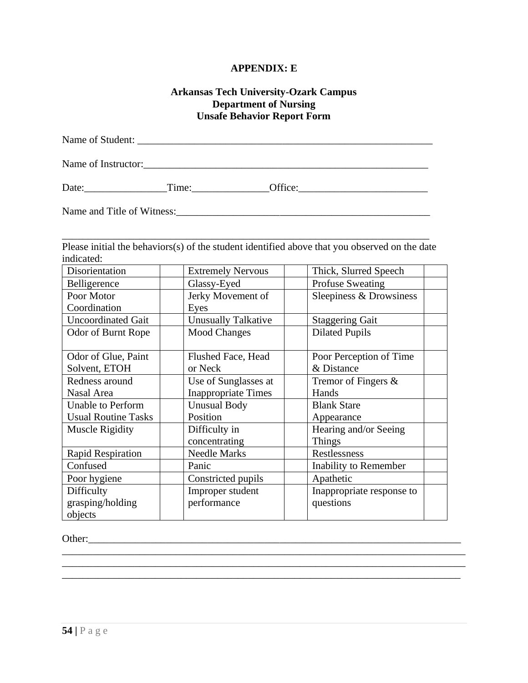#### **APPENDIX: E**

#### **Arkansas Tech University-Ozark Campus Department of Nursing Unsafe Behavior Report Form**

| Name of Instructor: |       |         |
|---------------------|-------|---------|
| Date:               | Time: | Office: |

Name and Title of Witness:\_\_\_\_\_\_\_\_\_\_\_\_\_\_\_\_\_\_\_\_\_\_\_\_\_\_\_\_\_\_\_\_\_\_\_\_\_\_\_\_\_\_\_\_\_\_\_\_\_

Please initial the behaviors(s) of the student identified above that you observed on the date indicated:

\_\_\_\_\_\_\_\_\_\_\_\_\_\_\_\_\_\_\_\_\_\_\_\_\_\_\_\_\_\_\_\_\_\_\_\_\_\_\_\_\_\_\_\_\_\_\_\_\_\_\_\_\_\_\_\_\_\_\_\_\_\_\_\_\_\_\_\_\_\_\_

| Disorientation             | <b>Extremely Nervous</b>   | Thick, Slurred Speech     |
|----------------------------|----------------------------|---------------------------|
| Belligerence               | Glassy-Eyed                | <b>Profuse Sweating</b>   |
| Poor Motor                 | Jerky Movement of          | Sleepiness & Drowsiness   |
| Coordination               | Eyes                       |                           |
| <b>Uncoordinated Gait</b>  | <b>Unusually Talkative</b> | <b>Staggering Gait</b>    |
| Odor of Burnt Rope         | <b>Mood Changes</b>        | <b>Dilated Pupils</b>     |
|                            |                            |                           |
| Odor of Glue, Paint        | Flushed Face, Head         | Poor Perception of Time   |
| Solvent, ETOH              | or Neck                    | & Distance                |
| Redness around             | Use of Sunglasses at       | Tremor of Fingers $\&$    |
| Nasal Area                 | <b>Inappropriate Times</b> | Hands                     |
| Unable to Perform          | <b>Unusual Body</b>        | <b>Blank Stare</b>        |
| <b>Usual Routine Tasks</b> | Position                   | Appearance                |
| <b>Muscle Rigidity</b>     | Difficulty in              | Hearing and/or Seeing     |
|                            | concentrating              | <b>Things</b>             |
| Rapid Respiration          | <b>Needle Marks</b>        | Restlessness              |
| Confused                   | Panic                      | Inability to Remember     |
| Poor hygiene               | Constricted pupils         | Apathetic                 |
| Difficulty                 | Improper student           | Inappropriate response to |
| grasping/holding           | performance                | questions                 |
| objects                    |                            |                           |

 $\mathcal{L}_\mathcal{L} = \{ \mathcal{L}_\mathcal{L} = \{ \mathcal{L}_\mathcal{L} = \{ \mathcal{L}_\mathcal{L} = \{ \mathcal{L}_\mathcal{L} = \{ \mathcal{L}_\mathcal{L} = \{ \mathcal{L}_\mathcal{L} = \{ \mathcal{L}_\mathcal{L} = \{ \mathcal{L}_\mathcal{L} = \{ \mathcal{L}_\mathcal{L} = \{ \mathcal{L}_\mathcal{L} = \{ \mathcal{L}_\mathcal{L} = \{ \mathcal{L}_\mathcal{L} = \{ \mathcal{L}_\mathcal{L} = \{ \mathcal{L}_\mathcal{$ 

\_\_\_\_\_\_\_\_\_\_\_\_\_\_\_\_\_\_\_\_\_\_\_\_\_\_\_\_\_\_\_\_\_\_\_\_\_\_\_\_\_\_\_\_\_\_\_\_\_\_\_\_\_\_\_\_\_\_\_\_\_\_\_\_\_\_\_\_\_\_\_\_\_\_\_\_\_

Other:\_\_\_\_\_\_\_\_\_\_\_\_\_\_\_\_\_\_\_\_\_\_\_\_\_\_\_\_\_\_\_\_\_\_\_\_\_\_\_\_\_\_\_\_\_\_\_\_\_\_\_\_\_\_\_\_\_\_\_\_\_\_\_\_\_\_\_\_\_\_\_\_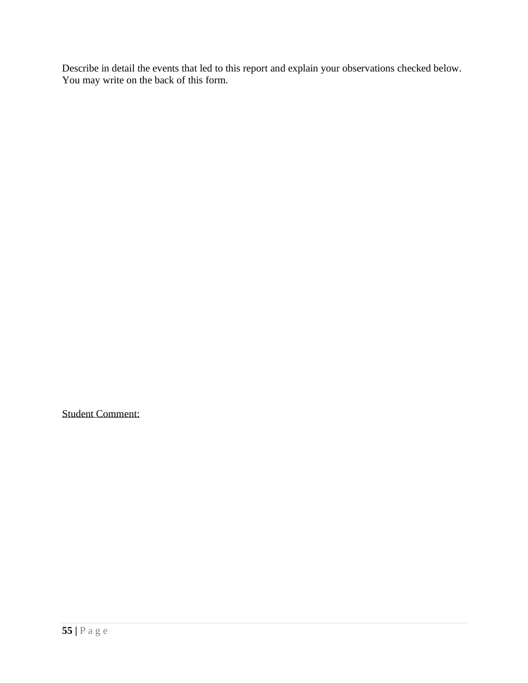Describe in detail the events that led to this report and explain your observations checked below. You may write on the back of this form.

Student Comment: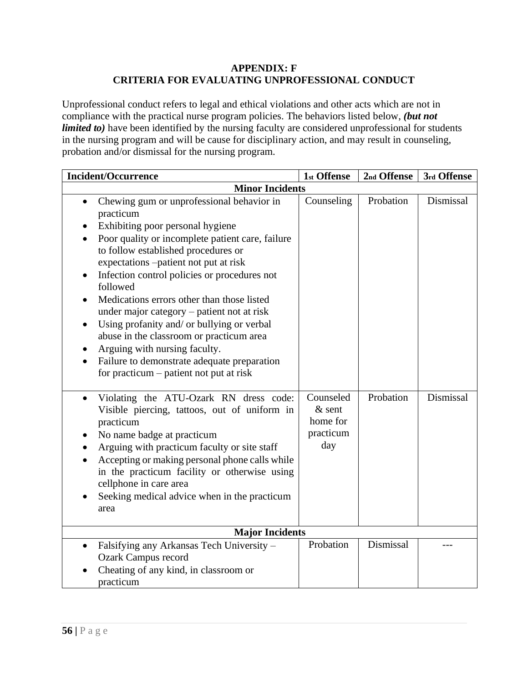# **APPENDIX: F CRITERIA FOR EVALUATING UNPROFESSIONAL CONDUCT**

Unprofessional conduct refers to legal and ethical violations and other acts which are not in compliance with the practical nurse program policies. The behaviors listed below, *(but not limited to*) have been identified by the nursing faculty are considered unprofessional for students in the nursing program and will be cause for disciplinary action, and may result in counseling, probation and/or dismissal for the nursing program.

| <b>Incident/Occurrence</b>                                                                                                                                                                                                                                                                                                                                                                                                                                                                                                                                                                                              | 1st Offense                                           | 2 <sub>nd</sub> Offense | 3rd Offense |
|-------------------------------------------------------------------------------------------------------------------------------------------------------------------------------------------------------------------------------------------------------------------------------------------------------------------------------------------------------------------------------------------------------------------------------------------------------------------------------------------------------------------------------------------------------------------------------------------------------------------------|-------------------------------------------------------|-------------------------|-------------|
| <b>Minor Incidents</b>                                                                                                                                                                                                                                                                                                                                                                                                                                                                                                                                                                                                  |                                                       |                         |             |
| Chewing gum or unprofessional behavior in<br>practicum<br>Exhibiting poor personal hygiene<br>٠<br>Poor quality or incomplete patient care, failure<br>to follow established procedures or<br>expectations -patient not put at risk<br>Infection control policies or procedures not<br>followed<br>Medications errors other than those listed<br>under major category – patient not at risk<br>Using profanity and/ or bullying or verbal<br>٠<br>abuse in the classroom or practicum area<br>Arguing with nursing faculty.<br>Failure to demonstrate adequate preparation<br>for practicum $-$ patient not put at risk | Counseling                                            | Probation               | Dismissal   |
| Violating the ATU-Ozark RN dress code:<br>Visible piercing, tattoos, out of uniform in<br>practicum<br>No name badge at practicum<br>Arguing with practicum faculty or site staff<br>Accepting or making personal phone calls while<br>in the practicum facility or otherwise using<br>cellphone in care area<br>Seeking medical advice when in the practicum<br>area                                                                                                                                                                                                                                                   | Counseled<br>$&$ sent<br>home for<br>practicum<br>day | Probation               | Dismissal   |
| <b>Major Incidents</b>                                                                                                                                                                                                                                                                                                                                                                                                                                                                                                                                                                                                  |                                                       |                         |             |
| Falsifying any Arkansas Tech University -<br>$\bullet$<br><b>Ozark Campus record</b><br>Cheating of any kind, in classroom or<br>practicum                                                                                                                                                                                                                                                                                                                                                                                                                                                                              | Probation                                             | Dismissal               |             |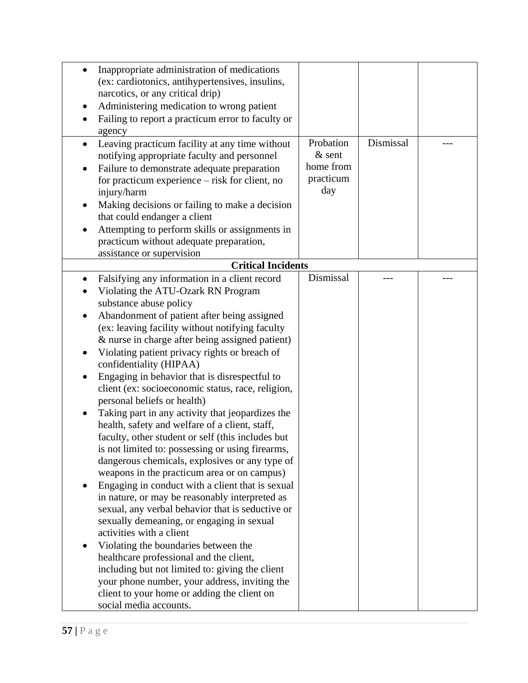| Inappropriate administration of medications<br>$\bullet$<br>(ex: cardiotonics, antihypertensives, insulins,<br>narcotics, or any critical drip)<br>Administering medication to wrong patient<br>Failing to report a practicum error to faculty or<br>agency<br>Leaving practicum facility at any time without<br>$\bullet$<br>notifying appropriate faculty and personnel<br>Failure to demonstrate adequate preparation<br>for practicum experience - risk for client, no                                                                                                                                                                                                                                                                                                                                                                                                                                                                                                                                                                                                                                                                                                                                                                                                                                          | Probation<br>$&$ sent<br>home from<br>practicum | Dismissal |  |
|---------------------------------------------------------------------------------------------------------------------------------------------------------------------------------------------------------------------------------------------------------------------------------------------------------------------------------------------------------------------------------------------------------------------------------------------------------------------------------------------------------------------------------------------------------------------------------------------------------------------------------------------------------------------------------------------------------------------------------------------------------------------------------------------------------------------------------------------------------------------------------------------------------------------------------------------------------------------------------------------------------------------------------------------------------------------------------------------------------------------------------------------------------------------------------------------------------------------------------------------------------------------------------------------------------------------|-------------------------------------------------|-----------|--|
| injury/harm<br>Making decisions or failing to make a decision<br>$\bullet$<br>that could endanger a client<br>Attempting to perform skills or assignments in<br>practicum without adequate preparation,<br>assistance or supervision                                                                                                                                                                                                                                                                                                                                                                                                                                                                                                                                                                                                                                                                                                                                                                                                                                                                                                                                                                                                                                                                                | day                                             |           |  |
| <b>Critical Incidents</b>                                                                                                                                                                                                                                                                                                                                                                                                                                                                                                                                                                                                                                                                                                                                                                                                                                                                                                                                                                                                                                                                                                                                                                                                                                                                                           |                                                 |           |  |
| Falsifying any information in a client record<br>Violating the ATU-Ozark RN Program<br>substance abuse policy<br>Abandonment of patient after being assigned<br>(ex: leaving facility without notifying faculty<br>& nurse in charge after being assigned patient)<br>Violating patient privacy rights or breach of<br>$\bullet$<br>confidentiality (HIPAA)<br>Engaging in behavior that is disrespectful to<br>client (ex: socioeconomic status, race, religion,<br>personal beliefs or health)<br>Taking part in any activity that jeopardizes the<br>health, safety and welfare of a client, staff,<br>faculty, other student or self (this includes but<br>is not limited to: possessing or using firearms,<br>dangerous chemicals, explosives or any type of<br>weapons in the practicum area or on campus)<br>Engaging in conduct with a client that is sexual<br>in nature, or may be reasonably interpreted as<br>sexual, any verbal behavior that is seductive or<br>sexually demeaning, or engaging in sexual<br>activities with a client<br>Violating the boundaries between the<br>healthcare professional and the client,<br>including but not limited to: giving the client<br>your phone number, your address, inviting the<br>client to your home or adding the client on<br>social media accounts. | Dismissal                                       |           |  |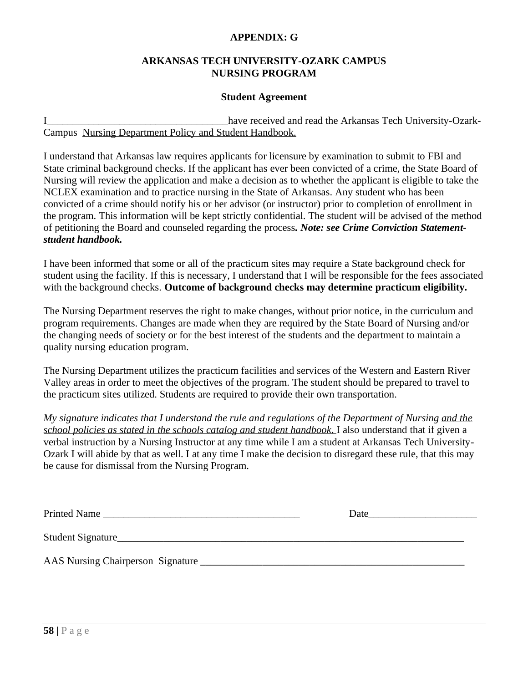#### **APPENDIX: G**

#### **ARKANSAS TECH UNIVERSITY-OZARK CAMPUS NURSING PROGRAM**

#### **Student Agreement**

I\_\_\_\_\_\_\_\_\_\_\_\_\_\_\_\_\_\_\_\_\_\_\_\_\_\_\_\_\_\_\_\_\_\_\_have received and read the Arkansas Tech University-Ozark-Campus Nursing Department Policy and Student Handbook.

I understand that Arkansas law requires applicants for licensure by examination to submit to FBI and State criminal background checks. If the applicant has ever been convicted of a crime, the State Board of Nursing will review the application and make a decision as to whether the applicant is eligible to take the NCLEX examination and to practice nursing in the State of Arkansas. Any student who has been convicted of a crime should notify his or her advisor (or instructor) prior to completion of enrollment in the program. This information will be kept strictly confidential. The student will be advised of the method of petitioning the Board and counseled regarding the process*. Note: see Crime Conviction Statementstudent handbook.*

I have been informed that some or all of the practicum sites may require a State background check for student using the facility. If this is necessary, I understand that I will be responsible for the fees associated with the background checks. **Outcome of background checks may determine practicum eligibility.**

The Nursing Department reserves the right to make changes, without prior notice, in the curriculum and program requirements. Changes are made when they are required by the State Board of Nursing and/or the changing needs of society or for the best interest of the students and the department to maintain a quality nursing education program.

The Nursing Department utilizes the practicum facilities and services of the Western and Eastern River Valley areas in order to meet the objectives of the program. The student should be prepared to travel to the practicum sites utilized. Students are required to provide their own transportation.

*My signature indicates that I understand the rule and regulations of the Department of Nursing and the school policies as stated in the schools catalog and student handbook*. I also understand that if given a verbal instruction by a Nursing Instructor at any time while I am a student at Arkansas Tech University-Ozark I will abide by that as well. I at any time I make the decision to disregard these rule, that this may be cause for dismissal from the Nursing Program.

| <b>Printed Name</b><br><u> 1980 - John Stone, Amerikaansk politiker (* 1980)</u> | Date |
|----------------------------------------------------------------------------------|------|
|                                                                                  |      |
| Student Signature                                                                |      |
| AAS Nursing Chairperson Signature                                                |      |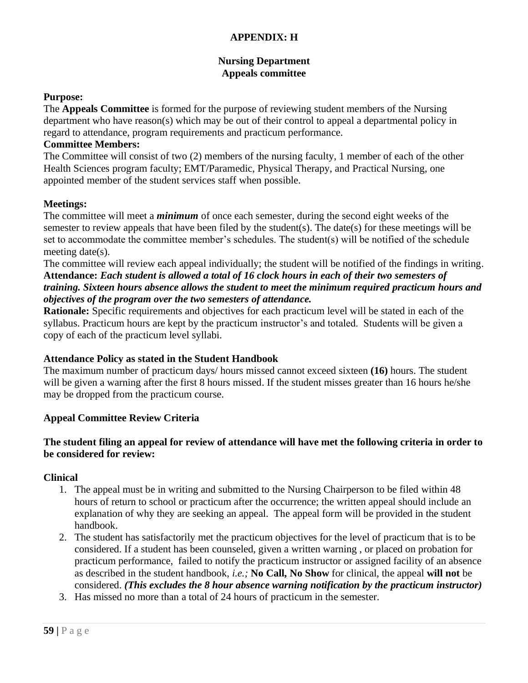# **APPENDIX: H**

## **Nursing Department Appeals committee**

## **Purpose:**

The **Appeals Committee** is formed for the purpose of reviewing student members of the Nursing department who have reason(s) which may be out of their control to appeal a departmental policy in regard to attendance, program requirements and practicum performance.

## **Committee Members:**

The Committee will consist of two (2) members of the nursing faculty, 1 member of each of the other Health Sciences program faculty; EMT/Paramedic, Physical Therapy, and Practical Nursing, one appointed member of the student services staff when possible.

# **Meetings:**

The committee will meet a *minimum* of once each semester, during the second eight weeks of the semester to review appeals that have been filed by the student(s). The date(s) for these meetings will be set to accommodate the committee member's schedules. The student(s) will be notified of the schedule meeting date(s).

The committee will review each appeal individually; the student will be notified of the findings in writing. **Attendance:** *Each student is allowed a total of 16 clock hours in each of their two semesters of training. Sixteen hours absence allows the student to meet the minimum required practicum hours and objectives of the program over the two semesters of attendance.* 

**Rationale:** Specific requirements and objectives for each practicum level will be stated in each of the syllabus. Practicum hours are kept by the practicum instructor's and totaled. Students will be given a copy of each of the practicum level syllabi.

# **Attendance Policy as stated in the Student Handbook**

The maximum number of practicum days/ hours missed cannot exceed sixteen **(16)** hours. The student will be given a warning after the first 8 hours missed. If the student misses greater than 16 hours he/she may be dropped from the practicum course.

#### **Appeal Committee Review Criteria**

# **The student filing an appeal for review of attendance will have met the following criteria in order to be considered for review:**

#### **Clinical**

- 1. The appeal must be in writing and submitted to the Nursing Chairperson to be filed within 48 hours of return to school or practicum after the occurrence; the written appeal should include an explanation of why they are seeking an appeal. The appeal form will be provided in the student handbook.
- 2. The student has satisfactorily met the practicum objectives for the level of practicum that is to be considered. If a student has been counseled, given a written warning , or placed on probation for practicum performance, failed to notify the practicum instructor or assigned facility of an absence as described in the student handbook, *i.e.;* **No Call, No Show** for clinical, the appeal **will not** be considered. *(This excludes the 8 hour absence warning notification by the practicum instructor)*
- 3. Has missed no more than a total of 24 hours of practicum in the semester.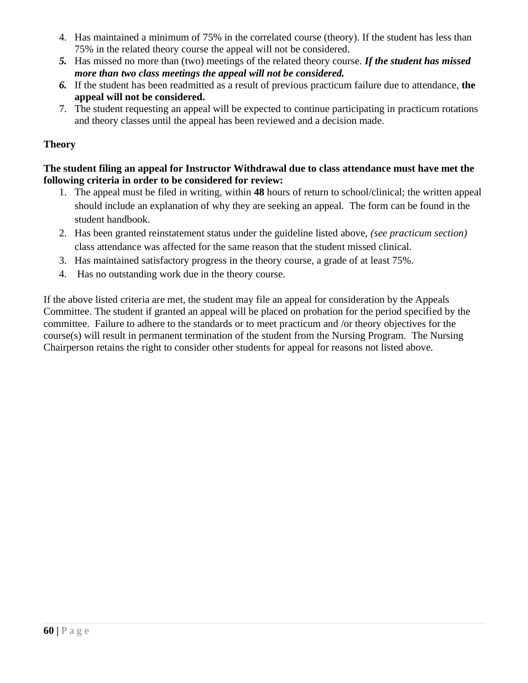- 4. Has maintained a minimum of 75% in the correlated course (theory). If the student has less than 75% in the related theory course the appeal will not be considered.
- *5.* Has missed no more than (two) meetings of the related theory course. *If the student has missed more than two class meetings the appeal will not be considered.*
- *6.* If the student has been readmitted as a result of previous practicum failure due to attendance, **the appeal will not be considered.**
- 7. The student requesting an appeal will be expected to continue participating in practicum rotations and theory classes until the appeal has been reviewed and a decision made.

# **Theory**

# **The student filing an appeal for Instructor Withdrawal due to class attendance must have met the following criteria in order to be considered for review:**

- 1. The appeal must be filed in writing, within **48** hours of return to school/clinical; the written appeal should include an explanation of why they are seeking an appeal. The form can be found in the student handbook.
- 2. Has been granted reinstatement status under the guideline listed above, *(see practicum section)* class attendance was affected for the same reason that the student missed clinical.
- 3. Has maintained satisfactory progress in the theory course, a grade of at least 75%.
- 4. Has no outstanding work due in the theory course.

If the above listed criteria are met, the student may file an appeal for consideration by the Appeals Committee. The student if granted an appeal will be placed on probation for the period specified by the committee. Failure to adhere to the standards or to meet practicum and /or theory objectives for the course(s) will result in permanent termination of the student from the Nursing Program. The Nursing Chairperson retains the right to consider other students for appeal for reasons not listed above.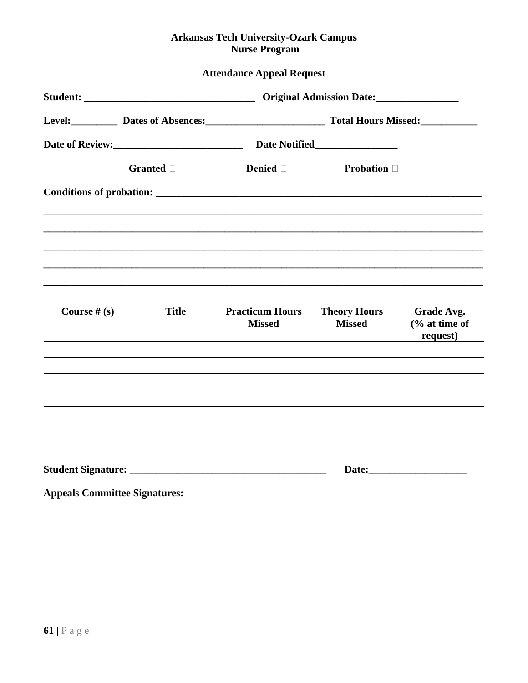#### **Arkansas Tech University-Ozark Campus Nurse Program**

# **Attendance Appeal Request**

|  |                                                         | Original Admission Date: |                         |
|--|---------------------------------------------------------|--------------------------|-------------------------|
|  | Level: Dates of Absences: 2008. [19] Dates of Absences: |                          |                         |
|  |                                                         |                          |                         |
|  | Granted $\Box$                                          | <b>Denied</b> $\Box$     | <b>Probation</b> $\Box$ |
|  |                                                         |                          |                         |
|  |                                                         |                          |                         |
|  |                                                         |                          |                         |
|  |                                                         |                          |                         |
|  |                                                         |                          |                         |

| Course $# (s)$ | <b>Title</b> | <b>Practicum Hours</b><br><b>Missed</b> | <b>Theory Hours</b><br><b>Missed</b> | Grade Avg.<br>(% at time of<br>request) |
|----------------|--------------|-----------------------------------------|--------------------------------------|-----------------------------------------|
|                |              |                                         |                                      |                                         |
|                |              |                                         |                                      |                                         |
|                |              |                                         |                                      |                                         |
|                |              |                                         |                                      |                                         |
|                |              |                                         |                                      |                                         |
|                |              |                                         |                                      |                                         |

**Student Signature: \_\_\_\_\_\_\_\_\_\_\_\_\_\_\_\_\_\_\_\_\_\_\_\_\_\_\_\_\_\_\_\_\_\_\_\_\_\_ Date:\_\_\_\_\_\_\_\_\_\_\_\_\_\_\_\_\_\_\_**

**Appeals Committee Signatures:**